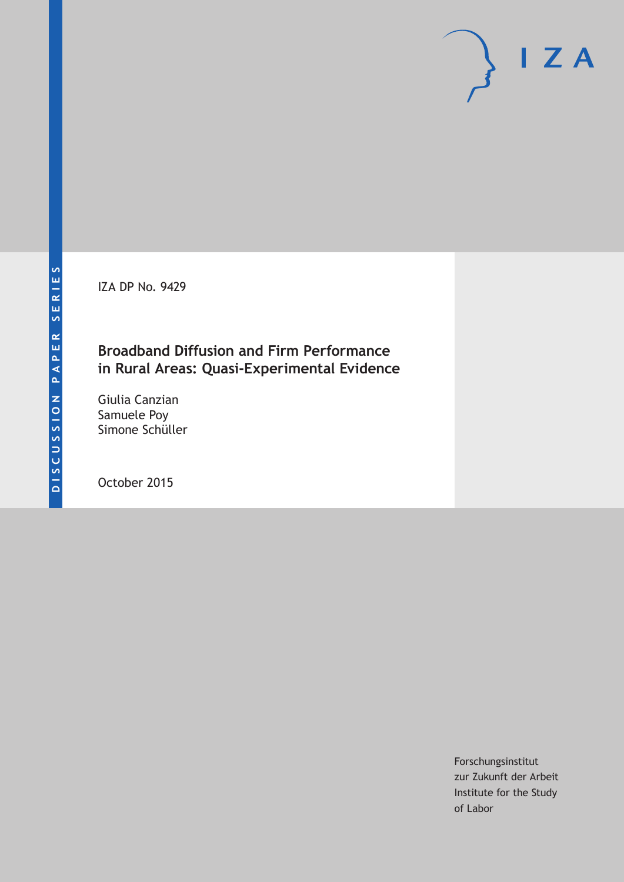IZA DP No. 9429

# **Broadband Diffusion and Firm Performance in Rural Areas: Quasi-Experimental Evidence**

Giulia Canzian Samuele Poy Simone Schüller

October 2015

Forschungsinstitut zur Zukunft der Arbeit Institute for the Study of Labor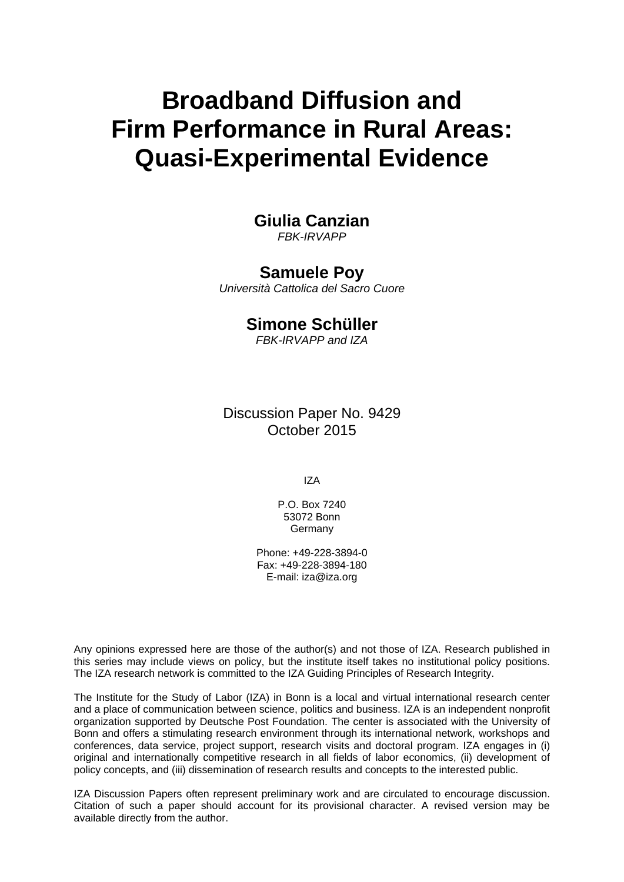# **Broadband Diffusion and Firm Performance in Rural Areas: Quasi-Experimental Evidence**

# **Giulia Canzian**

*FBK-IRVAPP* 

## **Samuele Poy**

*Università Cattolica del Sacro Cuore* 

# **Simone Schüller**

*FBK-IRVAPP and IZA*

Discussion Paper No. 9429 October 2015

IZA

P.O. Box 7240 53072 Bonn Germany

Phone: +49-228-3894-0 Fax: +49-228-3894-180 E-mail: iza@iza.org

Any opinions expressed here are those of the author(s) and not those of IZA. Research published in this series may include views on policy, but the institute itself takes no institutional policy positions. The IZA research network is committed to the IZA Guiding Principles of Research Integrity.

The Institute for the Study of Labor (IZA) in Bonn is a local and virtual international research center and a place of communication between science, politics and business. IZA is an independent nonprofit organization supported by Deutsche Post Foundation. The center is associated with the University of Bonn and offers a stimulating research environment through its international network, workshops and conferences, data service, project support, research visits and doctoral program. IZA engages in (i) original and internationally competitive research in all fields of labor economics, (ii) development of policy concepts, and (iii) dissemination of research results and concepts to the interested public.

IZA Discussion Papers often represent preliminary work and are circulated to encourage discussion. Citation of such a paper should account for its provisional character. A revised version may be available directly from the author.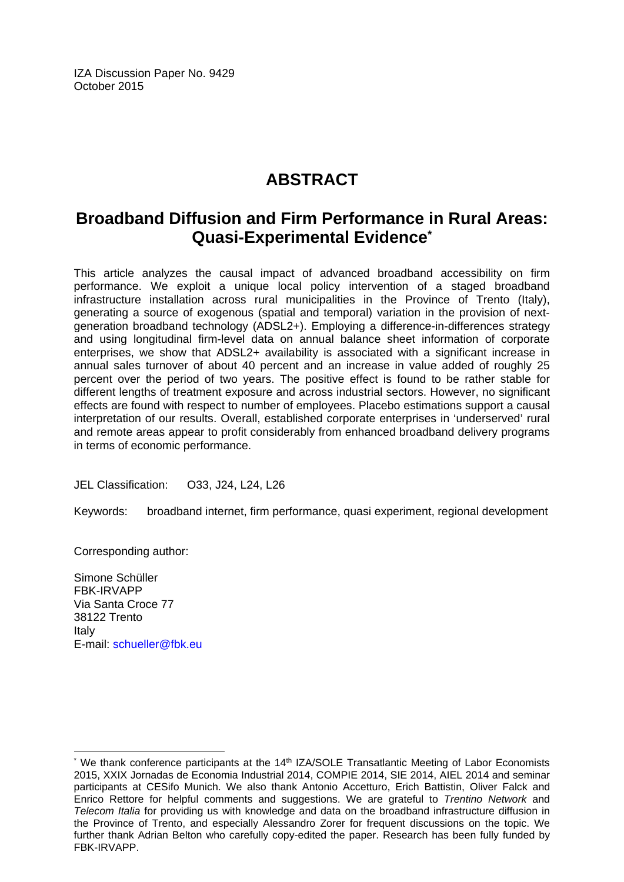IZA Discussion Paper No. 9429 October 2015

# **ABSTRACT**

# **Broadband Diffusion and Firm Performance in Rural Areas: Quasi-Experimental Evidence\***

This article analyzes the causal impact of advanced broadband accessibility on firm performance. We exploit a unique local policy intervention of a staged broadband infrastructure installation across rural municipalities in the Province of Trento (Italy), generating a source of exogenous (spatial and temporal) variation in the provision of nextgeneration broadband technology (ADSL2+). Employing a difference-in-differences strategy and using longitudinal firm-level data on annual balance sheet information of corporate enterprises, we show that ADSL2+ availability is associated with a significant increase in annual sales turnover of about 40 percent and an increase in value added of roughly 25 percent over the period of two years. The positive effect is found to be rather stable for different lengths of treatment exposure and across industrial sectors. However, no significant effects are found with respect to number of employees. Placebo estimations support a causal interpretation of our results. Overall, established corporate enterprises in 'underserved' rural and remote areas appear to profit considerably from enhanced broadband delivery programs in terms of economic performance.

JEL Classification: O33, J24, L24, L26

Keywords: broadband internet, firm performance, quasi experiment, regional development

Corresponding author:

Simone Schüller FBK-IRVAPP Via Santa Croce 77 38122 Trento Italy E-mail: schueller@fbk.eu

 $\overline{a}$ 

<sup>\*</sup> We thank conference participants at the 14<sup>th</sup> IZA/SOLE Transatlantic Meeting of Labor Economists 2015, XXIX Jornadas de Economia Industrial 2014, COMPIE 2014, SIE 2014, AIEL 2014 and seminar participants at CESifo Munich. We also thank Antonio Accetturo, Erich Battistin, Oliver Falck and Enrico Rettore for helpful comments and suggestions. We are grateful to *Trentino Network* and *Telecom Italia* for providing us with knowledge and data on the broadband infrastructure diffusion in the Province of Trento, and especially Alessandro Zorer for frequent discussions on the topic. We further thank Adrian Belton who carefully copy-edited the paper. Research has been fully funded by FBK-IRVAPP.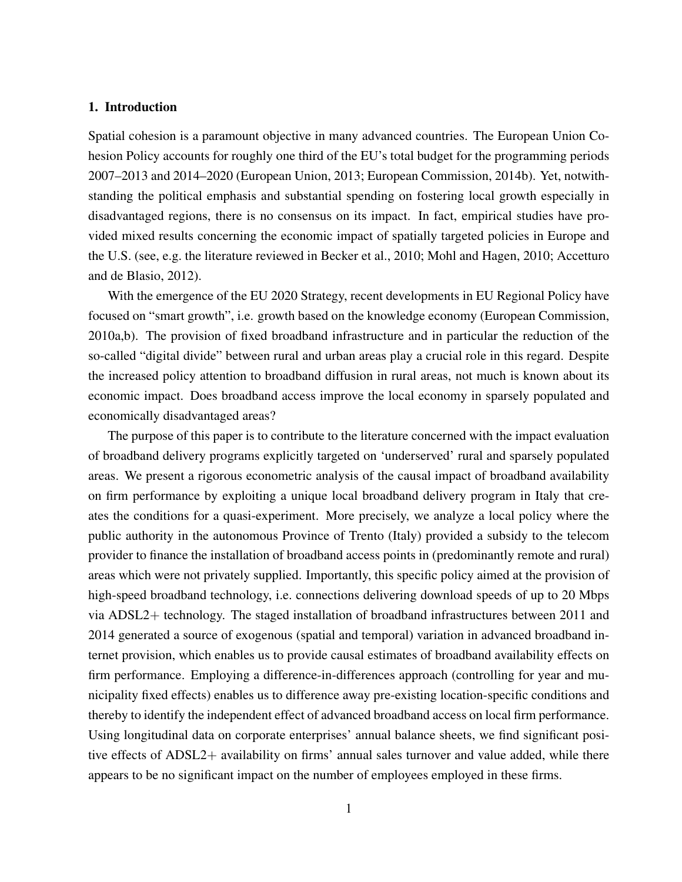#### 1. Introduction

Spatial cohesion is a paramount objective in many advanced countries. The European Union Cohesion Policy accounts for roughly one third of the EU's total budget for the programming periods 2007–2013 and 2014–2020 [\(European Union, 2013;](#page-21-0) [European Commission, 2014b\)](#page-21-1). Yet, notwithstanding the political emphasis and substantial spending on fostering local growth especially in disadvantaged regions, there is no consensus on its impact. In fact, empirical studies have provided mixed results concerning the economic impact of spatially targeted policies in Europe and the U.S. (see, e.g. the literature reviewed in [Becker et al., 2010;](#page-21-2) [Mohl and Hagen, 2010;](#page-22-0) [Accetturo](#page-21-3) [and de Blasio, 2012\)](#page-21-3).

With the emergence of the EU 2020 Strategy, recent developments in EU Regional Policy have focused on "smart growth", i.e. growth based on the knowledge economy [\(European Commission,](#page-21-4) [2010a](#page-21-4)[,b\)](#page-21-5). The provision of fixed broadband infrastructure and in particular the reduction of the so-called "digital divide" between rural and urban areas play a crucial role in this regard. Despite the increased policy attention to broadband diffusion in rural areas, not much is known about its economic impact. Does broadband access improve the local economy in sparsely populated and economically disadvantaged areas?

The purpose of this paper is to contribute to the literature concerned with the impact evaluation of broadband delivery programs explicitly targeted on 'underserved' rural and sparsely populated areas. We present a rigorous econometric analysis of the causal impact of broadband availability on firm performance by exploiting a unique local broadband delivery program in Italy that creates the conditions for a quasi-experiment. More precisely, we analyze a local policy where the public authority in the autonomous Province of Trento (Italy) provided a subsidy to the telecom provider to finance the installation of broadband access points in (predominantly remote and rural) areas which were not privately supplied. Importantly, this specific policy aimed at the provision of high-speed broadband technology, i.e. connections delivering download speeds of up to 20 Mbps via ADSL2+ technology. The staged installation of broadband infrastructures between 2011 and 2014 generated a source of exogenous (spatial and temporal) variation in advanced broadband internet provision, which enables us to provide causal estimates of broadband availability effects on firm performance. Employing a difference-in-differences approach (controlling for year and municipality fixed effects) enables us to difference away pre-existing location-specific conditions and thereby to identify the independent effect of advanced broadband access on local firm performance. Using longitudinal data on corporate enterprises' annual balance sheets, we find significant positive effects of ADSL2+ availability on firms' annual sales turnover and value added, while there appears to be no significant impact on the number of employees employed in these firms.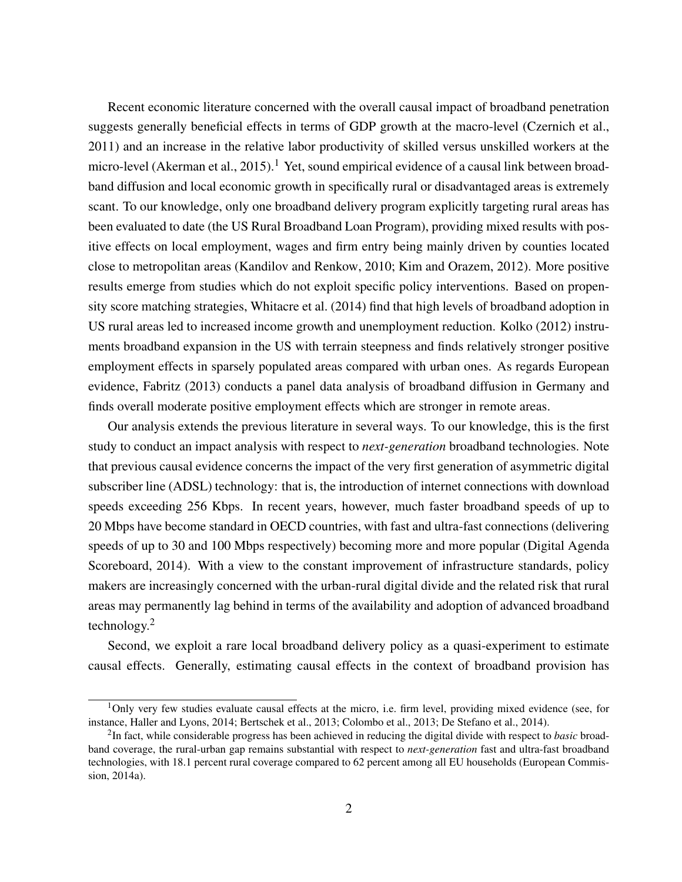Recent economic literature concerned with the overall causal impact of broadband penetration suggests generally beneficial effects in terms of GDP growth at the macro-level [\(Czernich et al.,](#page-21-6) [2011\)](#page-21-6) and an increase in the relative labor productivity of skilled versus unskilled workers at the micro-level [\(Akerman et al., 2015\)](#page-21-7).<sup>[1](#page-4-0)</sup> Yet, sound empirical evidence of a causal link between broadband diffusion and local economic growth in specifically rural or disadvantaged areas is extremely scant. To our knowledge, only one broadband delivery program explicitly targeting rural areas has been evaluated to date (the US Rural Broadband Loan Program), providing mixed results with positive effects on local employment, wages and firm entry being mainly driven by counties located close to metropolitan areas [\(Kandilov and Renkow, 2010;](#page-22-1) [Kim and Orazem, 2012\)](#page-22-2). More positive results emerge from studies which do not exploit specific policy interventions. Based on propensity score matching strategies, [Whitacre et al.](#page-22-3) [\(2014\)](#page-22-3) find that high levels of broadband adoption in US rural areas led to increased income growth and unemployment reduction. [Kolko](#page-22-4) [\(2012\)](#page-22-4) instruments broadband expansion in the US with terrain steepness and finds relatively stronger positive employment effects in sparsely populated areas compared with urban ones. As regards European evidence, [Fabritz](#page-22-5) [\(2013\)](#page-22-5) conducts a panel data analysis of broadband diffusion in Germany and finds overall moderate positive employment effects which are stronger in remote areas.

Our analysis extends the previous literature in several ways. To our knowledge, this is the first study to conduct an impact analysis with respect to *next-generation* broadband technologies. Note that previous causal evidence concerns the impact of the very first generation of asymmetric digital subscriber line (ADSL) technology: that is, the introduction of internet connections with download speeds exceeding 256 Kbps. In recent years, however, much faster broadband speeds of up to 20 Mbps have become standard in OECD countries, with fast and ultra-fast connections (delivering speeds of up to 30 and 100 Mbps respectively) becoming more and more popular [\(Digital Agenda](#page-21-8) [Scoreboard, 2014\)](#page-21-8). With a view to the constant improvement of infrastructure standards, policy makers are increasingly concerned with the urban-rural digital divide and the related risk that rural areas may permanently lag behind in terms of the availability and adoption of advanced broadband technology.[2](#page-4-1)

Second, we exploit a rare local broadband delivery policy as a quasi-experiment to estimate causal effects. Generally, estimating causal effects in the context of broadband provision has

<span id="page-4-0"></span><sup>1</sup>Only very few studies evaluate causal effects at the micro, i.e. firm level, providing mixed evidence (see, for instance, [Haller and Lyons, 2014;](#page-22-6) [Bertschek et al., 2013;](#page-21-9) [Colombo et al., 2013;](#page-21-10) [De Stefano et al., 2014\)](#page-21-11).

<span id="page-4-1"></span><sup>2</sup> In fact, while considerable progress has been achieved in reducing the digital divide with respect to *basic* broadband coverage, the rural-urban gap remains substantial with respect to *next-generation* fast and ultra-fast broadband technologies, with 18.1 percent rural coverage compared to 62 percent among all EU households [\(European Commis](#page-21-12)[sion, 2014a\)](#page-21-12).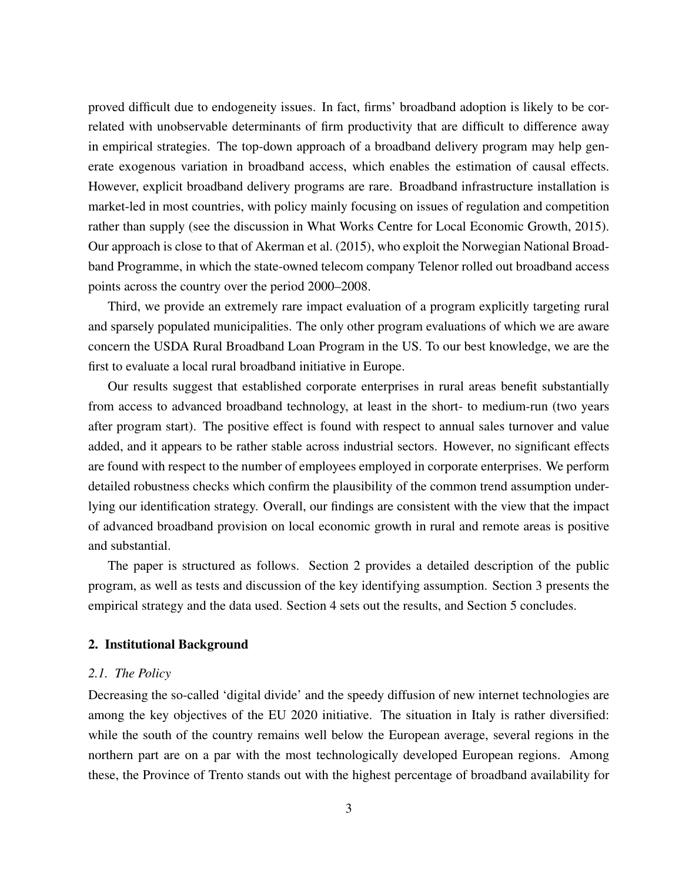proved difficult due to endogeneity issues. In fact, firms' broadband adoption is likely to be correlated with unobservable determinants of firm productivity that are difficult to difference away in empirical strategies. The top-down approach of a broadband delivery program may help generate exogenous variation in broadband access, which enables the estimation of causal effects. However, explicit broadband delivery programs are rare. Broadband infrastructure installation is market-led in most countries, with policy mainly focusing on issues of regulation and competition rather than supply (see the discussion in [What Works Centre for Local Economic Growth, 2015\)](#page-22-7). Our approach is close to that of [Akerman et al.](#page-21-7) [\(2015\)](#page-21-7), who exploit the Norwegian National Broadband Programme, in which the state-owned telecom company Telenor rolled out broadband access points across the country over the period 2000–2008.

Third, we provide an extremely rare impact evaluation of a program explicitly targeting rural and sparsely populated municipalities. The only other program evaluations of which we are aware concern the USDA Rural Broadband Loan Program in the US. To our best knowledge, we are the first to evaluate a local rural broadband initiative in Europe.

Our results suggest that established corporate enterprises in rural areas benefit substantially from access to advanced broadband technology, at least in the short- to medium-run (two years after program start). The positive effect is found with respect to annual sales turnover and value added, and it appears to be rather stable across industrial sectors. However, no significant effects are found with respect to the number of employees employed in corporate enterprises. We perform detailed robustness checks which confirm the plausibility of the common trend assumption underlying our identification strategy. Overall, our findings are consistent with the view that the impact of advanced broadband provision on local economic growth in rural and remote areas is positive and substantial.

The paper is structured as follows. Section [2](#page-5-0) provides a detailed description of the public program, as well as tests and discussion of the key identifying assumption. Section [3](#page-10-0) presents the empirical strategy and the data used. Section [4](#page-13-0) sets out the results, and Section [5](#page-20-0) concludes.

#### <span id="page-5-0"></span>2. Institutional Background

#### *2.1. The Policy*

Decreasing the so-called 'digital divide' and the speedy diffusion of new internet technologies are among the key objectives of the EU 2020 initiative. The situation in Italy is rather diversified: while the south of the country remains well below the European average, several regions in the northern part are on a par with the most technologically developed European regions. Among these, the Province of Trento stands out with the highest percentage of broadband availability for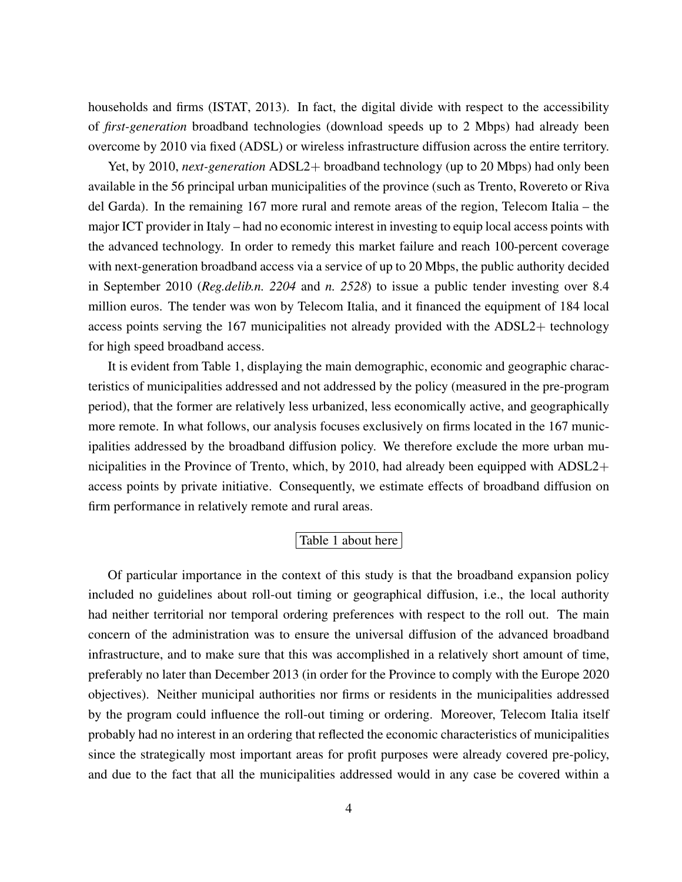households and firms [\(ISTAT, 2013\)](#page-22-8). In fact, the digital divide with respect to the accessibility of *first-generation* broadband technologies (download speeds up to 2 Mbps) had already been overcome by 2010 via fixed (ADSL) or wireless infrastructure diffusion across the entire territory.

Yet, by 2010, *next-generation* ADSL2+ broadband technology (up to 20 Mbps) had only been available in the 56 principal urban municipalities of the province (such as Trento, Rovereto or Riva del Garda). In the remaining 167 more rural and remote areas of the region, Telecom Italia – the major ICT provider in Italy – had no economic interest in investing to equip local access points with the advanced technology. In order to remedy this market failure and reach 100-percent coverage with next-generation broadband access via a service of up to 20 Mbps, the public authority decided in September 2010 (*Reg.delib.n. 2204* and *n. 2528*) to issue a public tender investing over 8.4 million euros. The tender was won by Telecom Italia, and it financed the equipment of 184 local access points serving the 167 municipalities not already provided with the ADSL2+ technology for high speed broadband access.

It is evident from Table [1,](#page-29-0) displaying the main demographic, economic and geographic characteristics of municipalities addressed and not addressed by the policy (measured in the pre-program period), that the former are relatively less urbanized, less economically active, and geographically more remote. In what follows, our analysis focuses exclusively on firms located in the 167 municipalities addressed by the broadband diffusion policy. We therefore exclude the more urban municipalities in the Province of Trento, which, by 2010, had already been equipped with ADSL2+ access points by private initiative. Consequently, we estimate effects of broadband diffusion on firm performance in relatively remote and rural areas.

#### Table [1](#page-29-0) about here

Of particular importance in the context of this study is that the broadband expansion policy included no guidelines about roll-out timing or geographical diffusion, i.e., the local authority had neither territorial nor temporal ordering preferences with respect to the roll out. The main concern of the administration was to ensure the universal diffusion of the advanced broadband infrastructure, and to make sure that this was accomplished in a relatively short amount of time, preferably no later than December 2013 (in order for the Province to comply with the Europe 2020 objectives). Neither municipal authorities nor firms or residents in the municipalities addressed by the program could influence the roll-out timing or ordering. Moreover, Telecom Italia itself probably had no interest in an ordering that reflected the economic characteristics of municipalities since the strategically most important areas for profit purposes were already covered pre-policy, and due to the fact that all the municipalities addressed would in any case be covered within a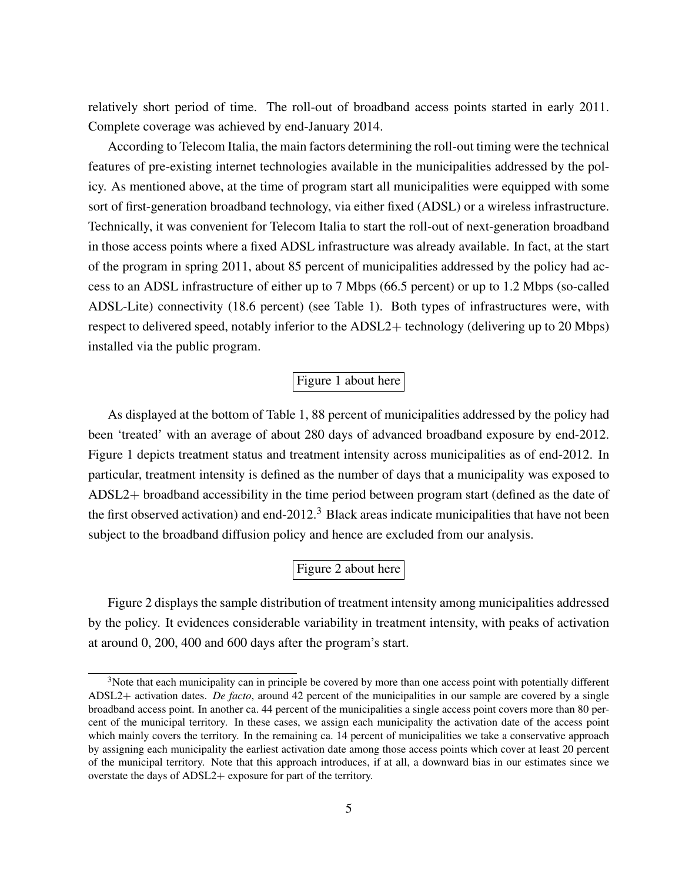relatively short period of time. The roll-out of broadband access points started in early 2011. Complete coverage was achieved by end-January 2014.

According to Telecom Italia, the main factors determining the roll-out timing were the technical features of pre-existing internet technologies available in the municipalities addressed by the policy. As mentioned above, at the time of program start all municipalities were equipped with some sort of first-generation broadband technology, via either fixed (ADSL) or a wireless infrastructure. Technically, it was convenient for Telecom Italia to start the roll-out of next-generation broadband in those access points where a fixed ADSL infrastructure was already available. In fact, at the start of the program in spring 2011, about 85 percent of municipalities addressed by the policy had access to an ADSL infrastructure of either up to 7 Mbps (66.5 percent) or up to 1.2 Mbps (so-called ADSL-Lite) connectivity (18.6 percent) (see Table [1\)](#page-29-0). Both types of infrastructures were, with respect to delivered speed, notably inferior to the ADSL2+ technology (delivering up to 20 Mbps) installed via the public program.

### Figure [1](#page-23-0) about here

As displayed at the bottom of Table [1,](#page-29-0) 88 percent of municipalities addressed by the policy had been 'treated' with an average of about 280 days of advanced broadband exposure by end-2012. Figure [1](#page-23-0) depicts treatment status and treatment intensity across municipalities as of end-2012. In particular, treatment intensity is defined as the number of days that a municipality was exposed to ADSL2+ broadband accessibility in the time period between program start (defined as the date of the first observed activation) and end-2012.<sup>[3](#page-7-0)</sup> Black areas indicate municipalities that have not been subject to the broadband diffusion policy and hence are excluded from our analysis.

# Figure [2](#page-24-0) about here

Figure [2](#page-24-0) displays the sample distribution of treatment intensity among municipalities addressed by the policy. It evidences considerable variability in treatment intensity, with peaks of activation at around 0, 200, 400 and 600 days after the program's start.

<span id="page-7-0"></span><sup>&</sup>lt;sup>3</sup>Note that each municipality can in principle be covered by more than one access point with potentially different ADSL2+ activation dates. *De facto*, around 42 percent of the municipalities in our sample are covered by a single broadband access point. In another ca. 44 percent of the municipalities a single access point covers more than 80 percent of the municipal territory. In these cases, we assign each municipality the activation date of the access point which mainly covers the territory. In the remaining ca. 14 percent of municipalities we take a conservative approach by assigning each municipality the earliest activation date among those access points which cover at least 20 percent of the municipal territory. Note that this approach introduces, if at all, a downward bias in our estimates since we overstate the days of ADSL2+ exposure for part of the territory.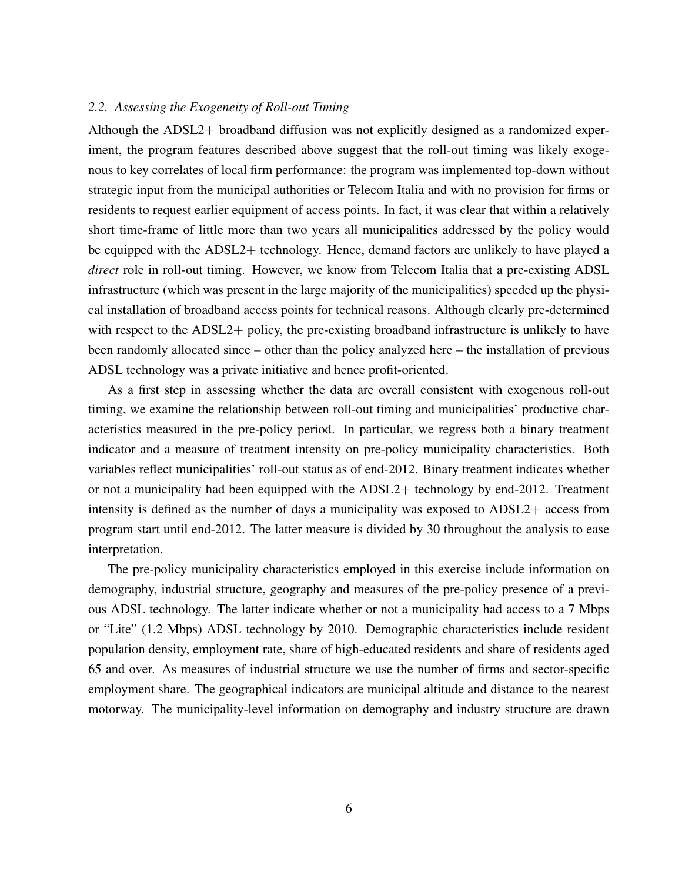#### <span id="page-8-0"></span>*2.2. Assessing the Exogeneity of Roll-out Timing*

Although the ADSL2+ broadband diffusion was not explicitly designed as a randomized experiment, the program features described above suggest that the roll-out timing was likely exogenous to key correlates of local firm performance: the program was implemented top-down without strategic input from the municipal authorities or Telecom Italia and with no provision for firms or residents to request earlier equipment of access points. In fact, it was clear that within a relatively short time-frame of little more than two years all municipalities addressed by the policy would be equipped with the ADSL2+ technology. Hence, demand factors are unlikely to have played a *direct* role in roll-out timing. However, we know from Telecom Italia that a pre-existing ADSL infrastructure (which was present in the large majority of the municipalities) speeded up the physical installation of broadband access points for technical reasons. Although clearly pre-determined with respect to the ADSL2+ policy, the pre-existing broadband infrastructure is unlikely to have been randomly allocated since – other than the policy analyzed here – the installation of previous ADSL technology was a private initiative and hence profit-oriented.

As a first step in assessing whether the data are overall consistent with exogenous roll-out timing, we examine the relationship between roll-out timing and municipalities' productive characteristics measured in the pre-policy period. In particular, we regress both a binary treatment indicator and a measure of treatment intensity on pre-policy municipality characteristics. Both variables reflect municipalities' roll-out status as of end-2012. Binary treatment indicates whether or not a municipality had been equipped with the ADSL2+ technology by end-2012. Treatment intensity is defined as the number of days a municipality was exposed to ADSL2+ access from program start until end-2012. The latter measure is divided by 30 throughout the analysis to ease interpretation.

The pre-policy municipality characteristics employed in this exercise include information on demography, industrial structure, geography and measures of the pre-policy presence of a previous ADSL technology. The latter indicate whether or not a municipality had access to a 7 Mbps or "Lite" (1.2 Mbps) ADSL technology by 2010. Demographic characteristics include resident population density, employment rate, share of high-educated residents and share of residents aged 65 and over. As measures of industrial structure we use the number of firms and sector-specific employment share. The geographical indicators are municipal altitude and distance to the nearest motorway. The municipality-level information on demography and industry structure are drawn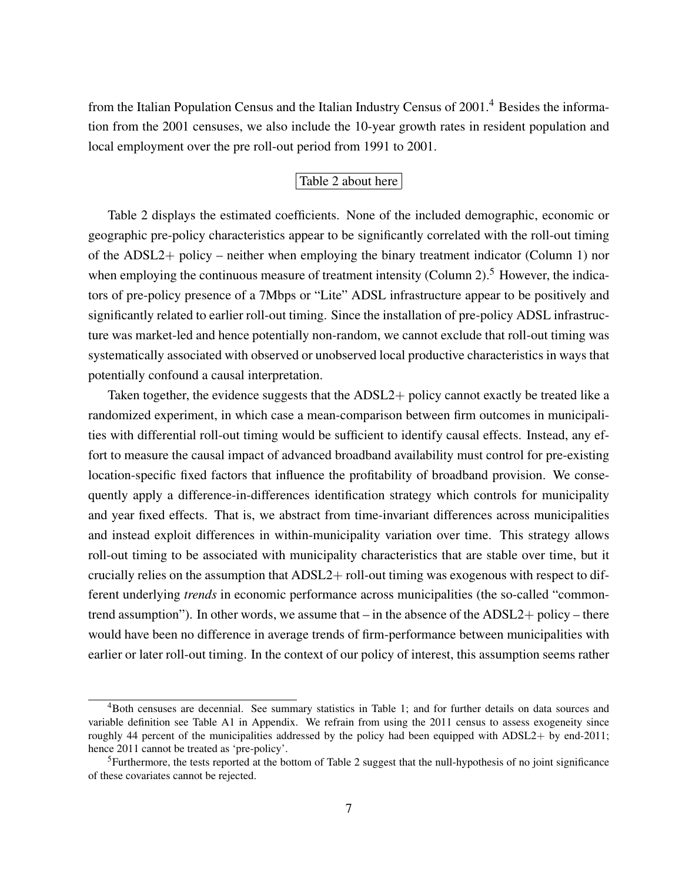from the Italian Population Census and the Italian Industry Census of 2001.[4](#page-9-0) Besides the information from the 2001 censuses, we also include the 10-year growth rates in resident population and local employment over the pre roll-out period from 1991 to 2001.

#### Table [2](#page-30-0) about here

Table [2](#page-30-0) displays the estimated coefficients. None of the included demographic, economic or geographic pre-policy characteristics appear to be significantly correlated with the roll-out timing of the ADSL2+ policy – neither when employing the binary treatment indicator (Column 1) nor when employing the continuous measure of treatment intensity (Column 2).<sup>[5](#page-9-1)</sup> However, the indicators of pre-policy presence of a 7Mbps or "Lite" ADSL infrastructure appear to be positively and significantly related to earlier roll-out timing. Since the installation of pre-policy ADSL infrastructure was market-led and hence potentially non-random, we cannot exclude that roll-out timing was systematically associated with observed or unobserved local productive characteristics in ways that potentially confound a causal interpretation.

Taken together, the evidence suggests that the ADSL2+ policy cannot exactly be treated like a randomized experiment, in which case a mean-comparison between firm outcomes in municipalities with differential roll-out timing would be sufficient to identify causal effects. Instead, any effort to measure the causal impact of advanced broadband availability must control for pre-existing location-specific fixed factors that influence the profitability of broadband provision. We consequently apply a difference-in-differences identification strategy which controls for municipality and year fixed effects. That is, we abstract from time-invariant differences across municipalities and instead exploit differences in within-municipality variation over time. This strategy allows roll-out timing to be associated with municipality characteristics that are stable over time, but it crucially relies on the assumption that ADSL2+ roll-out timing was exogenous with respect to different underlying *trends* in economic performance across municipalities (the so-called "commontrend assumption"). In other words, we assume that – in the absence of the ADSL2+ policy – there would have been no difference in average trends of firm-performance between municipalities with earlier or later roll-out timing. In the context of our policy of interest, this assumption seems rather

<span id="page-9-0"></span><sup>4</sup>Both censuses are decennial. See summary statistics in Table [1;](#page-29-0) and for further details on data sources and variable definition see Table [A1](#page-38-0) in Appendix. We refrain from using the 2011 census to assess exogeneity since roughly 44 percent of the municipalities addressed by the policy had been equipped with ADSL2+ by end-2011; hence 2011 cannot be treated as 'pre-policy'.

<span id="page-9-1"></span><sup>&</sup>lt;sup>5</sup>Furthermore, the tests reported at the bottom of Table [2](#page-30-0) suggest that the null-hypothesis of no joint significance of these covariates cannot be rejected.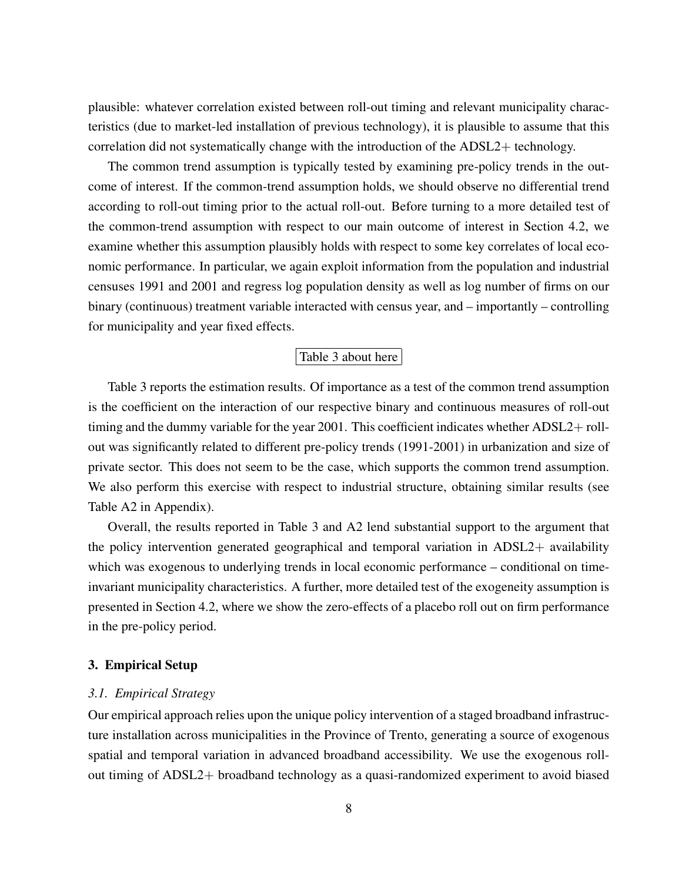plausible: whatever correlation existed between roll-out timing and relevant municipality characteristics (due to market-led installation of previous technology), it is plausible to assume that this correlation did not systematically change with the introduction of the ADSL2+ technology.

The common trend assumption is typically tested by examining pre-policy trends in the outcome of interest. If the common-trend assumption holds, we should observe no differential trend according to roll-out timing prior to the actual roll-out. Before turning to a more detailed test of the common-trend assumption with respect to our main outcome of interest in Section [4.2,](#page-15-0) we examine whether this assumption plausibly holds with respect to some key correlates of local economic performance. In particular, we again exploit information from the population and industrial censuses 1991 and 2001 and regress log population density as well as log number of firms on our binary (continuous) treatment variable interacted with census year, and – importantly – controlling for municipality and year fixed effects.

#### Table [3](#page-31-0) about here

Table [3](#page-31-0) reports the estimation results. Of importance as a test of the common trend assumption is the coefficient on the interaction of our respective binary and continuous measures of roll-out timing and the dummy variable for the year 2001. This coefficient indicates whether ADSL2+ rollout was significantly related to different pre-policy trends (1991-2001) in urbanization and size of private sector. This does not seem to be the case, which supports the common trend assumption. We also perform this exercise with respect to industrial structure, obtaining similar results (see Table [A2](#page-39-0) in Appendix).

Overall, the results reported in Table [3](#page-31-0) and [A2](#page-39-0) lend substantial support to the argument that the policy intervention generated geographical and temporal variation in ADSL2+ availability which was exogenous to underlying trends in local economic performance – conditional on timeinvariant municipality characteristics. A further, more detailed test of the exogeneity assumption is presented in Section [4.2,](#page-15-0) where we show the zero-effects of a placebo roll out on firm performance in the pre-policy period.

#### <span id="page-10-0"></span>3. Empirical Setup

#### *3.1. Empirical Strategy*

Our empirical approach relies upon the unique policy intervention of a staged broadband infrastructure installation across municipalities in the Province of Trento, generating a source of exogenous spatial and temporal variation in advanced broadband accessibility. We use the exogenous rollout timing of ADSL2+ broadband technology as a quasi-randomized experiment to avoid biased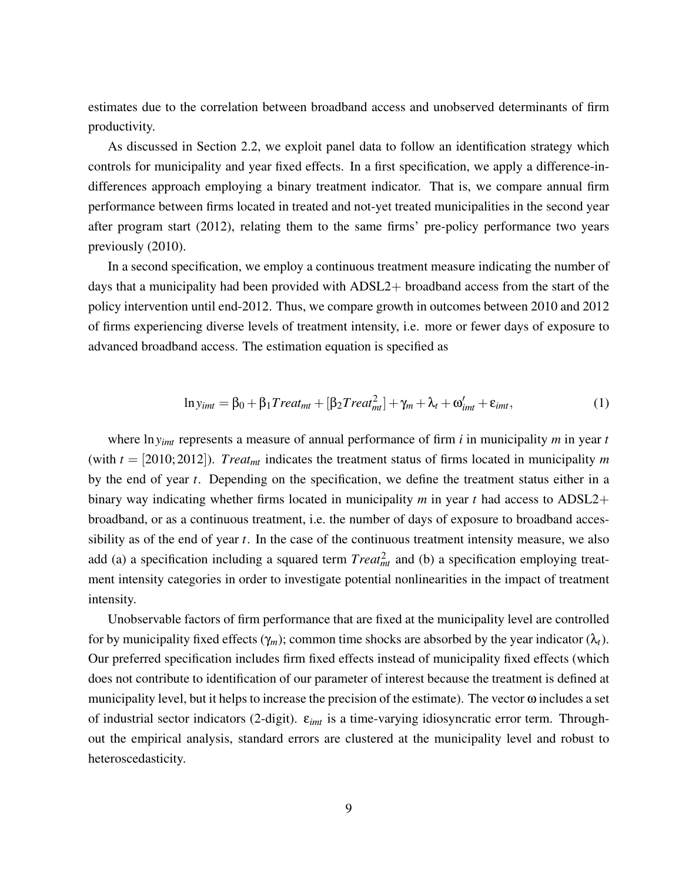estimates due to the correlation between broadband access and unobserved determinants of firm productivity.

As discussed in Section [2.2,](#page-8-0) we exploit panel data to follow an identification strategy which controls for municipality and year fixed effects. In a first specification, we apply a difference-indifferences approach employing a binary treatment indicator. That is, we compare annual firm performance between firms located in treated and not-yet treated municipalities in the second year after program start (2012), relating them to the same firms' pre-policy performance two years previously (2010).

In a second specification, we employ a continuous treatment measure indicating the number of days that a municipality had been provided with ADSL2+ broadband access from the start of the policy intervention until end-2012. Thus, we compare growth in outcomes between 2010 and 2012 of firms experiencing diverse levels of treatment intensity, i.e. more or fewer days of exposure to advanced broadband access. The estimation equation is specified as

<span id="page-11-0"></span>
$$
\ln y_{imt} = \beta_0 + \beta_1 Treat_{mt} + [\beta_2 Treat_{mt}^2] + \gamma_m + \lambda_t + \omega'_{imt} + \varepsilon_{imt},
$$
\n(1)

where ln*yimt* represents a measure of annual performance of firm *i* in municipality *m* in year *t* (with  $t = [2010; 2012]$ ). *Treat<sub>mt</sub>* indicates the treatment status of firms located in municipality *m* by the end of year *t*. Depending on the specification, we define the treatment status either in a binary way indicating whether firms located in municipality *m* in year *t* had access to ADSL2+ broadband, or as a continuous treatment, i.e. the number of days of exposure to broadband accessibility as of the end of year *t*. In the case of the continuous treatment intensity measure, we also add (a) a specification including a squared term  $Treat_{mt}^2$  and (b) a specification employing treatment intensity categories in order to investigate potential nonlinearities in the impact of treatment intensity.

Unobservable factors of firm performance that are fixed at the municipality level are controlled for by municipality fixed effects ( $\gamma_m$ ); common time shocks are absorbed by the year indicator ( $\lambda_t$ ). Our preferred specification includes firm fixed effects instead of municipality fixed effects (which does not contribute to identification of our parameter of interest because the treatment is defined at municipality level, but it helps to increase the precision of the estimate). The vector  $\omega$  includes a set of industrial sector indicators (2-digit). ε*imt* is a time-varying idiosyncratic error term. Throughout the empirical analysis, standard errors are clustered at the municipality level and robust to heteroscedasticity.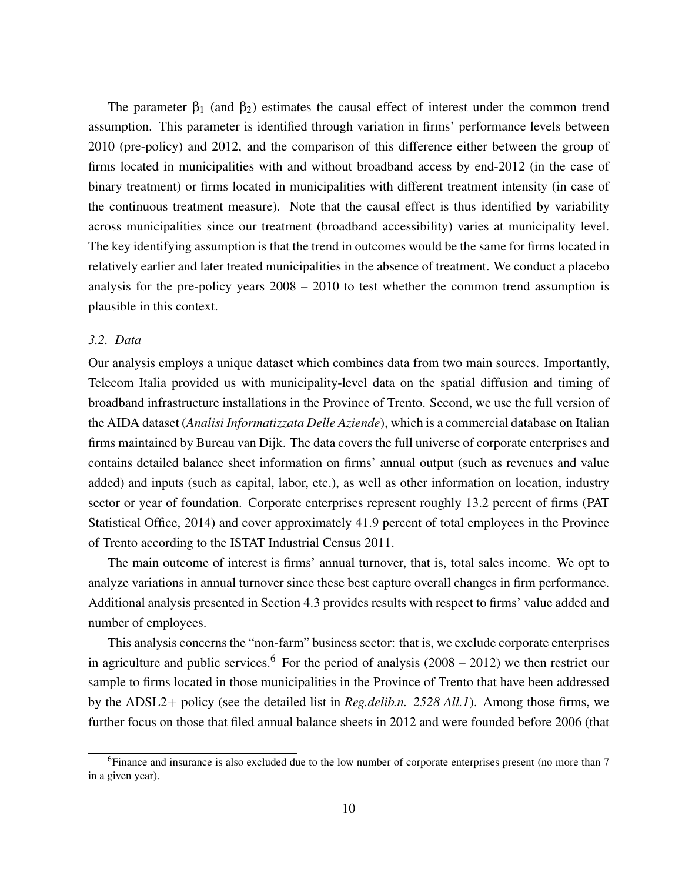The parameter  $\beta_1$  (and  $\beta_2$ ) estimates the causal effect of interest under the common trend assumption. This parameter is identified through variation in firms' performance levels between 2010 (pre-policy) and 2012, and the comparison of this difference either between the group of firms located in municipalities with and without broadband access by end-2012 (in the case of binary treatment) or firms located in municipalities with different treatment intensity (in case of the continuous treatment measure). Note that the causal effect is thus identified by variability across municipalities since our treatment (broadband accessibility) varies at municipality level. The key identifying assumption is that the trend in outcomes would be the same for firms located in relatively earlier and later treated municipalities in the absence of treatment. We conduct a placebo analysis for the pre-policy years 2008 – 2010 to test whether the common trend assumption is plausible in this context.

#### *3.2. Data*

Our analysis employs a unique dataset which combines data from two main sources. Importantly, Telecom Italia provided us with municipality-level data on the spatial diffusion and timing of broadband infrastructure installations in the Province of Trento. Second, we use the full version of the AIDA dataset (*Analisi Informatizzata Delle Aziende*), which is a commercial database on Italian firms maintained by Bureau van Dijk. The data covers the full universe of corporate enterprises and contains detailed balance sheet information on firms' annual output (such as revenues and value added) and inputs (such as capital, labor, etc.), as well as other information on location, industry sector or year of foundation. Corporate enterprises represent roughly 13.2 percent of firms [\(PAT](#page-22-9) [Statistical Office, 2014\)](#page-22-9) and cover approximately 41.9 percent of total employees in the Province of Trento according to the ISTAT Industrial Census 2011.

The main outcome of interest is firms' annual turnover, that is, total sales income. We opt to analyze variations in annual turnover since these best capture overall changes in firm performance. Additional analysis presented in Section [4.3](#page-16-0) provides results with respect to firms' value added and number of employees.

This analysis concerns the "non-farm" business sector: that is, we exclude corporate enterprises in agriculture and public services.<sup>[6](#page-12-0)</sup> For the period of analysis  $(2008 - 2012)$  we then restrict our sample to firms located in those municipalities in the Province of Trento that have been addressed by the ADSL2+ policy (see the detailed list in *Reg.delib.n. 2528 All.1*). Among those firms, we further focus on those that filed annual balance sheets in 2012 and were founded before 2006 (that

<span id="page-12-0"></span><sup>6</sup>Finance and insurance is also excluded due to the low number of corporate enterprises present (no more than 7 in a given year).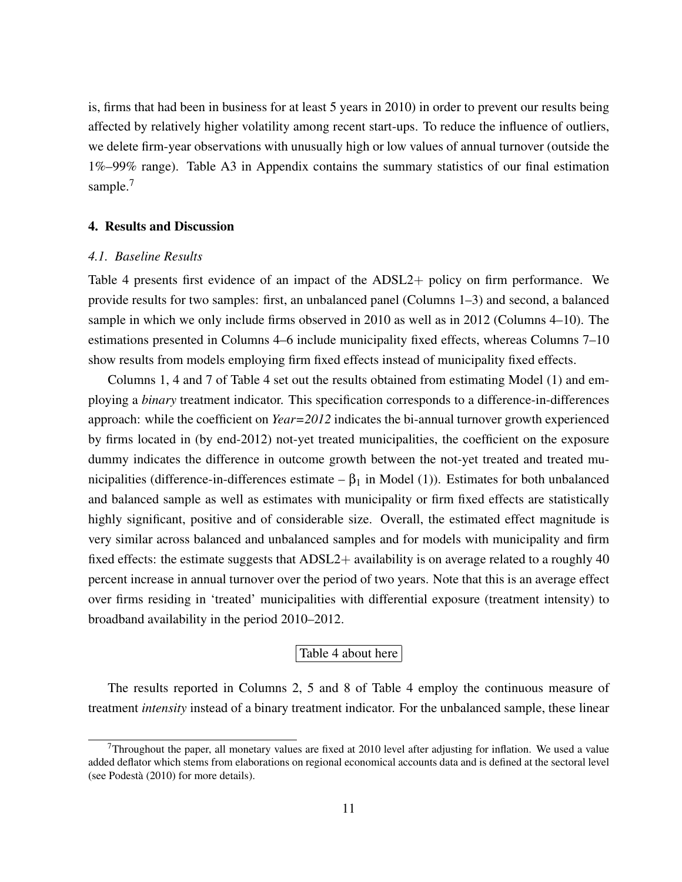is, firms that had been in business for at least 5 years in 2010) in order to prevent our results being affected by relatively higher volatility among recent start-ups. To reduce the influence of outliers, we delete firm-year observations with unusually high or low values of annual turnover (outside the 1%–99% range). Table [A3](#page-40-0) in Appendix contains the summary statistics of our final estimation sample.<sup>[7](#page-13-1)</sup>

#### <span id="page-13-0"></span>4. Results and Discussion

#### *4.1. Baseline Results*

Table [4](#page-32-0) presents first evidence of an impact of the ADSL2+ policy on firm performance. We provide results for two samples: first, an unbalanced panel (Columns 1–3) and second, a balanced sample in which we only include firms observed in 2010 as well as in 2012 (Columns 4–10). The estimations presented in Columns 4–6 include municipality fixed effects, whereas Columns 7–10 show results from models employing firm fixed effects instead of municipality fixed effects.

Columns 1, 4 and 7 of Table [4](#page-32-0) set out the results obtained from estimating Model [\(1\)](#page-11-0) and employing a *binary* treatment indicator. This specification corresponds to a difference-in-differences approach: while the coefficient on *Year=2012* indicates the bi-annual turnover growth experienced by firms located in (by end-2012) not-yet treated municipalities, the coefficient on the exposure dummy indicates the difference in outcome growth between the not-yet treated and treated municipalities (difference-in-differences estimate –  $β<sub>1</sub>$  in Model [\(1\)](#page-11-0)). Estimates for both unbalanced and balanced sample as well as estimates with municipality or firm fixed effects are statistically highly significant, positive and of considerable size. Overall, the estimated effect magnitude is very similar across balanced and unbalanced samples and for models with municipality and firm fixed effects: the estimate suggests that ADSL2+ availability is on average related to a roughly 40 percent increase in annual turnover over the period of two years. Note that this is an average effect over firms residing in 'treated' municipalities with differential exposure (treatment intensity) to broadband availability in the period 2010–2012.

#### Table [4](#page-32-0) about here

The results reported in Columns 2, 5 and 8 of Table [4](#page-32-0) employ the continuous measure of treatment *intensity* instead of a binary treatment indicator. For the unbalanced sample, these linear

<span id="page-13-1"></span>Throughout the paper, all monetary values are fixed at 2010 level after adjusting for inflation. We used a value added deflator which stems from elaborations on regional economical accounts data and is defined at the sectoral level (see [Podesta](#page-22-10) [\(2010\)](#page-22-10) for more details). `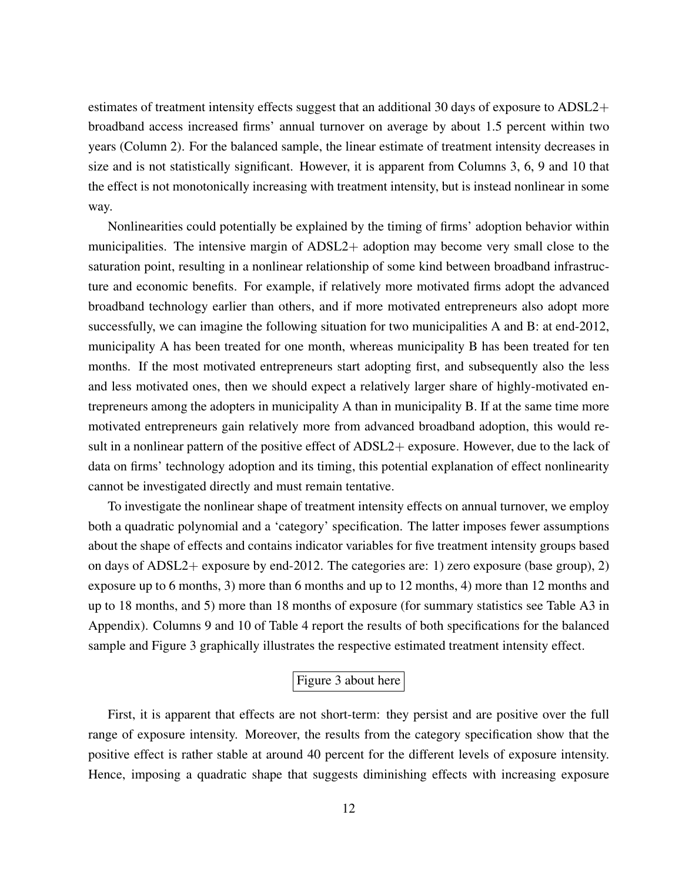estimates of treatment intensity effects suggest that an additional 30 days of exposure to ADSL2+ broadband access increased firms' annual turnover on average by about 1.5 percent within two years (Column 2). For the balanced sample, the linear estimate of treatment intensity decreases in size and is not statistically significant. However, it is apparent from Columns 3, 6, 9 and 10 that the effect is not monotonically increasing with treatment intensity, but is instead nonlinear in some way.

Nonlinearities could potentially be explained by the timing of firms' adoption behavior within municipalities. The intensive margin of ADSL2+ adoption may become very small close to the saturation point, resulting in a nonlinear relationship of some kind between broadband infrastructure and economic benefits. For example, if relatively more motivated firms adopt the advanced broadband technology earlier than others, and if more motivated entrepreneurs also adopt more successfully, we can imagine the following situation for two municipalities A and B: at end-2012, municipality A has been treated for one month, whereas municipality B has been treated for ten months. If the most motivated entrepreneurs start adopting first, and subsequently also the less and less motivated ones, then we should expect a relatively larger share of highly-motivated entrepreneurs among the adopters in municipality A than in municipality B. If at the same time more motivated entrepreneurs gain relatively more from advanced broadband adoption, this would result in a nonlinear pattern of the positive effect of ADSL2+ exposure. However, due to the lack of data on firms' technology adoption and its timing, this potential explanation of effect nonlinearity cannot be investigated directly and must remain tentative.

To investigate the nonlinear shape of treatment intensity effects on annual turnover, we employ both a quadratic polynomial and a 'category' specification. The latter imposes fewer assumptions about the shape of effects and contains indicator variables for five treatment intensity groups based on days of ADSL2+ exposure by end-2012. The categories are: 1) zero exposure (base group), 2) exposure up to 6 months, 3) more than 6 months and up to 12 months, 4) more than 12 months and up to 18 months, and 5) more than 18 months of exposure (for summary statistics see Table [A3](#page-40-0) in Appendix). Columns 9 and 10 of Table [4](#page-32-0) report the results of both specifications for the balanced sample and Figure [3](#page-25-0) graphically illustrates the respective estimated treatment intensity effect.

### Figure [3](#page-25-0) about here

First, it is apparent that effects are not short-term: they persist and are positive over the full range of exposure intensity. Moreover, the results from the category specification show that the positive effect is rather stable at around 40 percent for the different levels of exposure intensity. Hence, imposing a quadratic shape that suggests diminishing effects with increasing exposure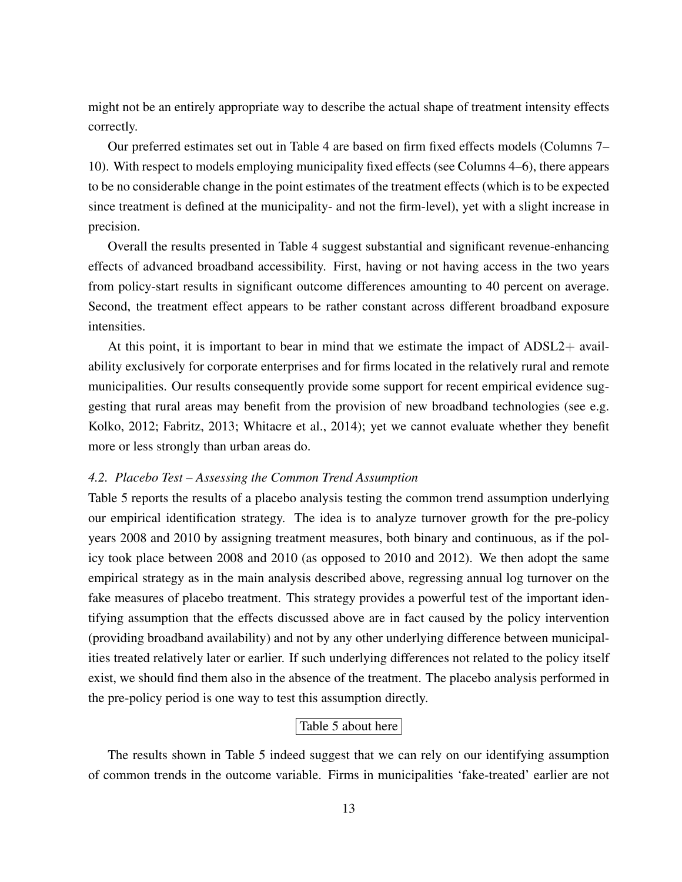might not be an entirely appropriate way to describe the actual shape of treatment intensity effects correctly.

Our preferred estimates set out in Table [4](#page-32-0) are based on firm fixed effects models (Columns 7– 10). With respect to models employing municipality fixed effects (see Columns 4–6), there appears to be no considerable change in the point estimates of the treatment effects (which is to be expected since treatment is defined at the municipality- and not the firm-level), yet with a slight increase in precision.

Overall the results presented in Table [4](#page-32-0) suggest substantial and significant revenue-enhancing effects of advanced broadband accessibility. First, having or not having access in the two years from policy-start results in significant outcome differences amounting to 40 percent on average. Second, the treatment effect appears to be rather constant across different broadband exposure intensities.

At this point, it is important to bear in mind that we estimate the impact of ADSL2+ availability exclusively for corporate enterprises and for firms located in the relatively rural and remote municipalities. Our results consequently provide some support for recent empirical evidence suggesting that rural areas may benefit from the provision of new broadband technologies (see e.g. [Kolko, 2012;](#page-22-4) [Fabritz, 2013;](#page-22-5) [Whitacre et al., 2014\)](#page-22-3); yet we cannot evaluate whether they benefit more or less strongly than urban areas do.

#### <span id="page-15-0"></span>*4.2. Placebo Test – Assessing the Common Trend Assumption*

Table [5](#page-33-0) reports the results of a placebo analysis testing the common trend assumption underlying our empirical identification strategy. The idea is to analyze turnover growth for the pre-policy years 2008 and 2010 by assigning treatment measures, both binary and continuous, as if the policy took place between 2008 and 2010 (as opposed to 2010 and 2012). We then adopt the same empirical strategy as in the main analysis described above, regressing annual log turnover on the fake measures of placebo treatment. This strategy provides a powerful test of the important identifying assumption that the effects discussed above are in fact caused by the policy intervention (providing broadband availability) and not by any other underlying difference between municipalities treated relatively later or earlier. If such underlying differences not related to the policy itself exist, we should find them also in the absence of the treatment. The placebo analysis performed in the pre-policy period is one way to test this assumption directly.

#### Table [5](#page-33-0) about here

The results shown in Table [5](#page-33-0) indeed suggest that we can rely on our identifying assumption of common trends in the outcome variable. Firms in municipalities 'fake-treated' earlier are not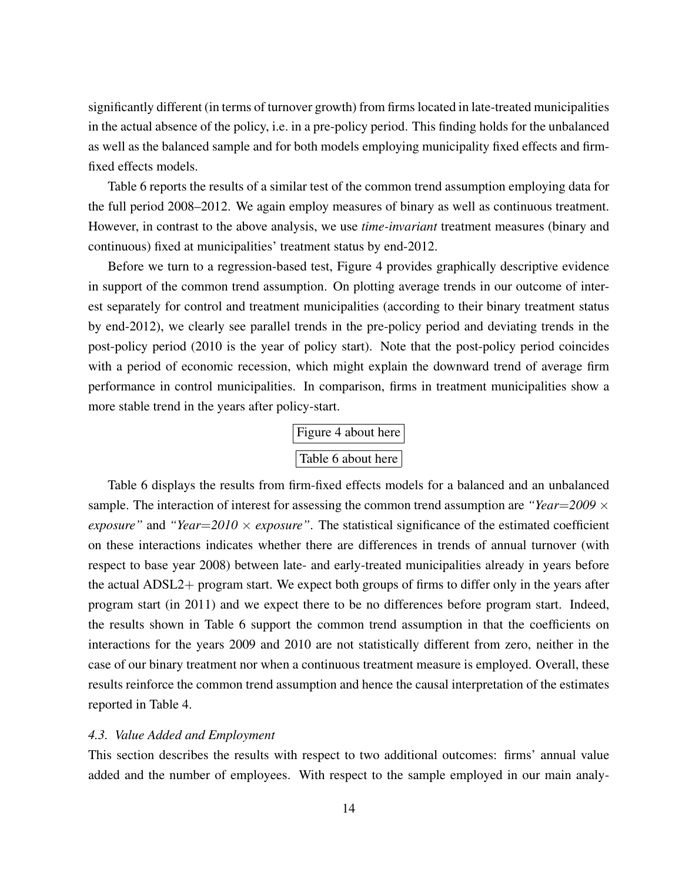significantly different (in terms of turnover growth) from firms located in late-treated municipalities in the actual absence of the policy, i.e. in a pre-policy period. This finding holds for the unbalanced as well as the balanced sample and for both models employing municipality fixed effects and firmfixed effects models.

Table [6](#page-34-0) reports the results of a similar test of the common trend assumption employing data for the full period 2008–2012. We again employ measures of binary as well as continuous treatment. However, in contrast to the above analysis, we use *time-invariant* treatment measures (binary and continuous) fixed at municipalities' treatment status by end-2012.

Before we turn to a regression-based test, Figure [4](#page-26-0) provides graphically descriptive evidence in support of the common trend assumption. On plotting average trends in our outcome of interest separately for control and treatment municipalities (according to their binary treatment status by end-2012), we clearly see parallel trends in the pre-policy period and deviating trends in the post-policy period (2010 is the year of policy start). Note that the post-policy period coincides with a period of economic recession, which might explain the downward trend of average firm performance in control municipalities. In comparison, firms in treatment municipalities show a more stable trend in the years after policy-start.

| Figure 4 about here |
|---------------------|
| Table 6 about here  |

Table [6](#page-34-0) displays the results from firm-fixed effects models for a balanced and an unbalanced sample. The interaction of interest for assessing the common trend assumption are *"Year*=*2009* × *exposure"* and "*Year*= $2010 \times$  *exposure"*. The statistical significance of the estimated coefficient on these interactions indicates whether there are differences in trends of annual turnover (with respect to base year 2008) between late- and early-treated municipalities already in years before the actual ADSL2+ program start. We expect both groups of firms to differ only in the years after program start (in 2011) and we expect there to be no differences before program start. Indeed, the results shown in Table [6](#page-34-0) support the common trend assumption in that the coefficients on interactions for the years 2009 and 2010 are not statistically different from zero, neither in the case of our binary treatment nor when a continuous treatment measure is employed. Overall, these results reinforce the common trend assumption and hence the causal interpretation of the estimates reported in Table [4.](#page-32-0)

#### <span id="page-16-0"></span>*4.3. Value Added and Employment*

This section describes the results with respect to two additional outcomes: firms' annual value added and the number of employees. With respect to the sample employed in our main analy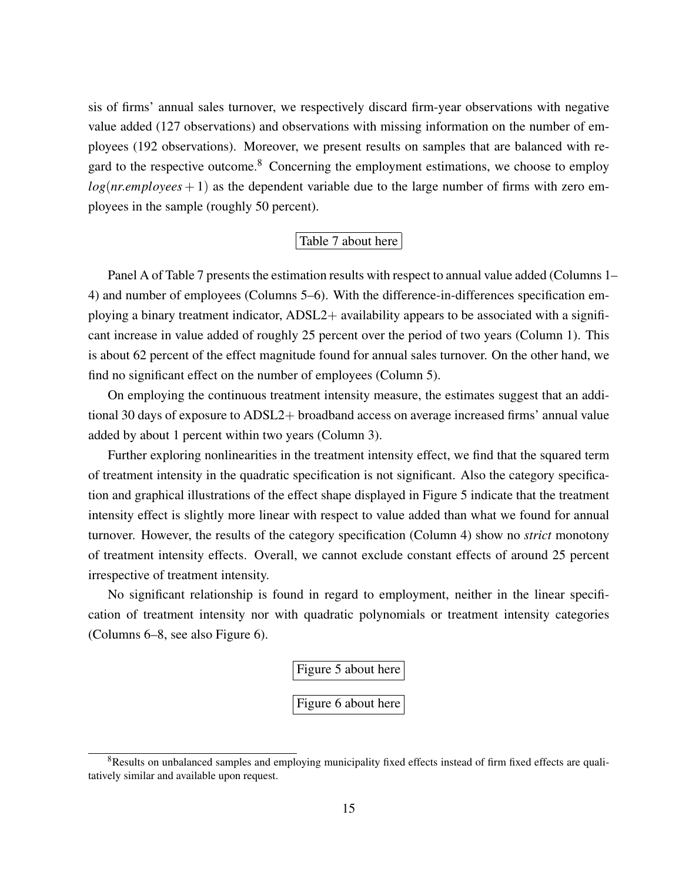sis of firms' annual sales turnover, we respectively discard firm-year observations with negative value added (127 observations) and observations with missing information on the number of employees (192 observations). Moreover, we present results on samples that are balanced with regard to the respective outcome. $8$  Concerning the employment estimations, we choose to employ  $log(nr$ *employees* + 1) as the dependent variable due to the large number of firms with zero employees in the sample (roughly 50 percent).

#### Table [7](#page-35-0) about here

Panel A of Table [7](#page-35-0) presents the estimation results with respect to annual value added (Columns 1– 4) and number of employees (Columns 5–6). With the difference-in-differences specification employing a binary treatment indicator, ADSL2+ availability appears to be associated with a significant increase in value added of roughly 25 percent over the period of two years (Column 1). This is about 62 percent of the effect magnitude found for annual sales turnover. On the other hand, we find no significant effect on the number of employees (Column 5).

On employing the continuous treatment intensity measure, the estimates suggest that an additional 30 days of exposure to ADSL2+ broadband access on average increased firms' annual value added by about 1 percent within two years (Column 3).

Further exploring nonlinearities in the treatment intensity effect, we find that the squared term of treatment intensity in the quadratic specification is not significant. Also the category specification and graphical illustrations of the effect shape displayed in Figure [5](#page-27-0) indicate that the treatment intensity effect is slightly more linear with respect to value added than what we found for annual turnover. However, the results of the category specification (Column 4) show no *strict* monotony of treatment intensity effects. Overall, we cannot exclude constant effects of around 25 percent irrespective of treatment intensity.

No significant relationship is found in regard to employment, neither in the linear specification of treatment intensity nor with quadratic polynomials or treatment intensity categories (Columns 6–8, see also Figure [6\)](#page-28-0).

Figure [5](#page-27-0) about here

Figure [6](#page-28-0) about here

<span id="page-17-0"></span><sup>&</sup>lt;sup>8</sup>Results on unbalanced samples and employing municipality fixed effects instead of firm fixed effects are qualitatively similar and available upon request.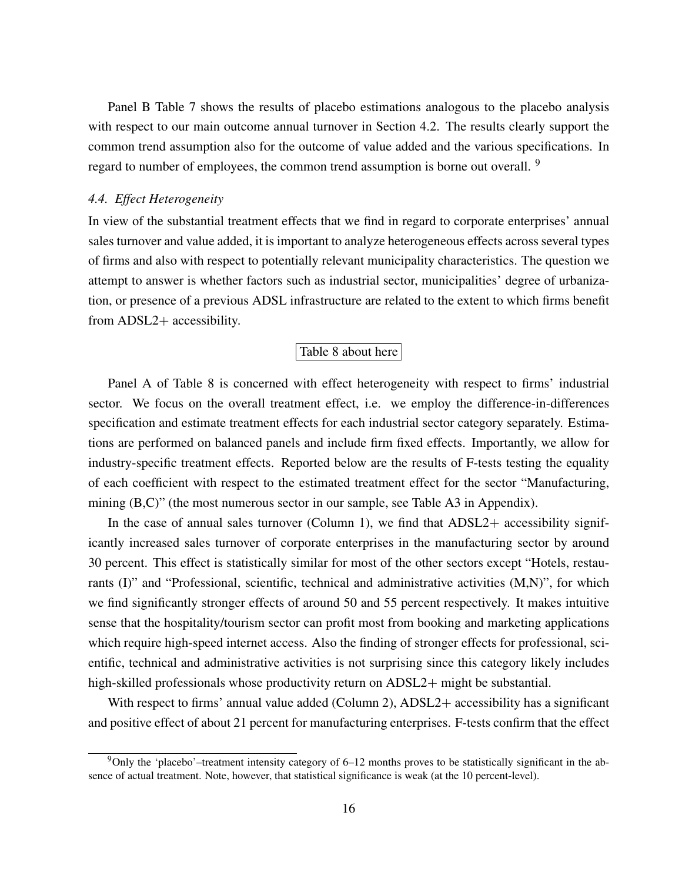Panel B Table [7](#page-35-0) shows the results of placebo estimations analogous to the placebo analysis with respect to our main outcome annual turnover in Section [4.2.](#page-15-0) The results clearly support the common trend assumption also for the outcome of value added and the various specifications. In regard to number of employees, the common trend assumption is borne out overall. <sup>[9](#page-18-0)</sup>

#### *4.4. Effect Heterogeneity*

In view of the substantial treatment effects that we find in regard to corporate enterprises' annual sales turnover and value added, it is important to analyze heterogeneous effects across several types of firms and also with respect to potentially relevant municipality characteristics. The question we attempt to answer is whether factors such as industrial sector, municipalities' degree of urbanization, or presence of a previous ADSL infrastructure are related to the extent to which firms benefit from ADSL2+ accessibility.

#### Table [8](#page-36-0) about here

Panel A of Table [8](#page-36-0) is concerned with effect heterogeneity with respect to firms' industrial sector. We focus on the overall treatment effect, i.e. we employ the difference-in-differences specification and estimate treatment effects for each industrial sector category separately. Estimations are performed on balanced panels and include firm fixed effects. Importantly, we allow for industry-specific treatment effects. Reported below are the results of F-tests testing the equality of each coefficient with respect to the estimated treatment effect for the sector "Manufacturing, mining (B,C)" (the most numerous sector in our sample, see Table [A3](#page-40-0) in Appendix).

In the case of annual sales turnover (Column 1), we find that  $ADSL2+$  accessibility significantly increased sales turnover of corporate enterprises in the manufacturing sector by around 30 percent. This effect is statistically similar for most of the other sectors except "Hotels, restaurants (I)" and "Professional, scientific, technical and administrative activities (M,N)", for which we find significantly stronger effects of around 50 and 55 percent respectively. It makes intuitive sense that the hospitality/tourism sector can profit most from booking and marketing applications which require high-speed internet access. Also the finding of stronger effects for professional, scientific, technical and administrative activities is not surprising since this category likely includes high-skilled professionals whose productivity return on ADSL2+ might be substantial.

With respect to firms' annual value added (Column 2), ADSL2+ accessibility has a significant and positive effect of about 21 percent for manufacturing enterprises. F-tests confirm that the effect

<span id="page-18-0"></span><sup>9</sup>Only the 'placebo'–treatment intensity category of 6–12 months proves to be statistically significant in the absence of actual treatment. Note, however, that statistical significance is weak (at the 10 percent-level).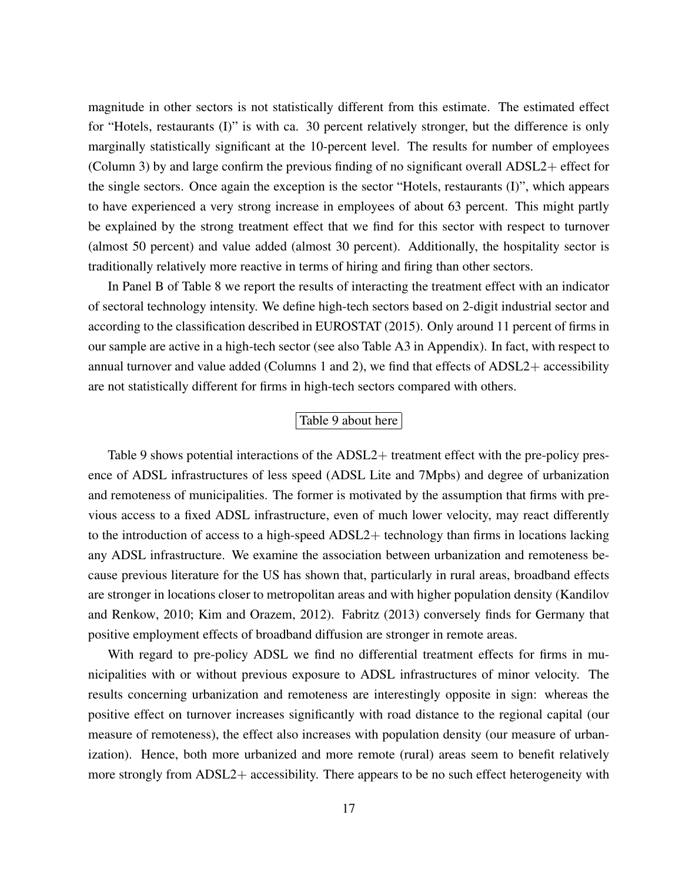magnitude in other sectors is not statistically different from this estimate. The estimated effect for "Hotels, restaurants (I)" is with ca. 30 percent relatively stronger, but the difference is only marginally statistically significant at the 10-percent level. The results for number of employees (Column 3) by and large confirm the previous finding of no significant overall ADSL2+ effect for the single sectors. Once again the exception is the sector "Hotels, restaurants (I)", which appears to have experienced a very strong increase in employees of about 63 percent. This might partly be explained by the strong treatment effect that we find for this sector with respect to turnover (almost 50 percent) and value added (almost 30 percent). Additionally, the hospitality sector is traditionally relatively more reactive in terms of hiring and firing than other sectors.

In Panel B of Table [8](#page-36-0) we report the results of interacting the treatment effect with an indicator of sectoral technology intensity. We define high-tech sectors based on 2-digit industrial sector and according to the classification described in [EUROSTAT](#page-22-11) [\(2015\)](#page-22-11). Only around 11 percent of firms in our sample are active in a high-tech sector (see also Table [A3](#page-40-0) in Appendix). In fact, with respect to annual turnover and value added (Columns 1 and 2), we find that effects of ADSL2+ accessibility are not statistically different for firms in high-tech sectors compared with others.

#### Table [9](#page-37-0) about here

Table [9](#page-37-0) shows potential interactions of the ADSL2+ treatment effect with the pre-policy presence of ADSL infrastructures of less speed (ADSL Lite and 7Mpbs) and degree of urbanization and remoteness of municipalities. The former is motivated by the assumption that firms with previous access to a fixed ADSL infrastructure, even of much lower velocity, may react differently to the introduction of access to a high-speed ADSL2+ technology than firms in locations lacking any ADSL infrastructure. We examine the association between urbanization and remoteness because previous literature for the US has shown that, particularly in rural areas, broadband effects are stronger in locations closer to metropolitan areas and with higher population density [\(Kandilov](#page-22-1) [and Renkow, 2010;](#page-22-1) [Kim and Orazem, 2012\)](#page-22-2). [Fabritz](#page-22-5) [\(2013\)](#page-22-5) conversely finds for Germany that positive employment effects of broadband diffusion are stronger in remote areas.

With regard to pre-policy ADSL we find no differential treatment effects for firms in municipalities with or without previous exposure to ADSL infrastructures of minor velocity. The results concerning urbanization and remoteness are interestingly opposite in sign: whereas the positive effect on turnover increases significantly with road distance to the regional capital (our measure of remoteness), the effect also increases with population density (our measure of urbanization). Hence, both more urbanized and more remote (rural) areas seem to benefit relatively more strongly from ADSL2+ accessibility. There appears to be no such effect heterogeneity with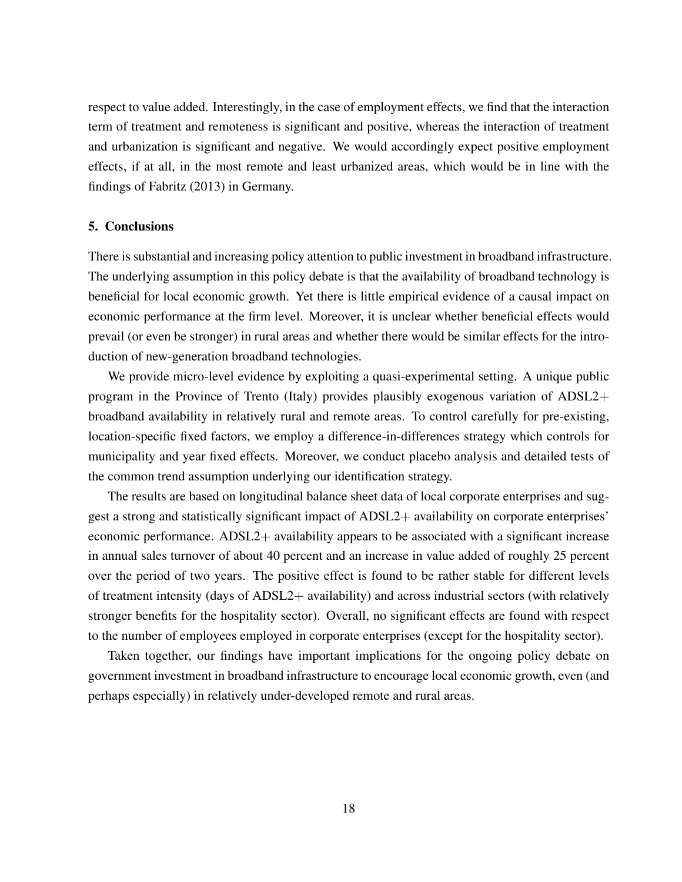respect to value added. Interestingly, in the case of employment effects, we find that the interaction term of treatment and remoteness is significant and positive, whereas the interaction of treatment and urbanization is significant and negative. We would accordingly expect positive employment effects, if at all, in the most remote and least urbanized areas, which would be in line with the findings of [Fabritz](#page-22-5) [\(2013\)](#page-22-5) in Germany.

#### <span id="page-20-0"></span>5. Conclusions

There is substantial and increasing policy attention to public investment in broadband infrastructure. The underlying assumption in this policy debate is that the availability of broadband technology is beneficial for local economic growth. Yet there is little empirical evidence of a causal impact on economic performance at the firm level. Moreover, it is unclear whether beneficial effects would prevail (or even be stronger) in rural areas and whether there would be similar effects for the introduction of new-generation broadband technologies.

We provide micro-level evidence by exploiting a quasi-experimental setting. A unique public program in the Province of Trento (Italy) provides plausibly exogenous variation of ADSL2+ broadband availability in relatively rural and remote areas. To control carefully for pre-existing, location-specific fixed factors, we employ a difference-in-differences strategy which controls for municipality and year fixed effects. Moreover, we conduct placebo analysis and detailed tests of the common trend assumption underlying our identification strategy.

The results are based on longitudinal balance sheet data of local corporate enterprises and suggest a strong and statistically significant impact of ADSL2+ availability on corporate enterprises' economic performance. ADSL2+ availability appears to be associated with a significant increase in annual sales turnover of about 40 percent and an increase in value added of roughly 25 percent over the period of two years. The positive effect is found to be rather stable for different levels of treatment intensity (days of  $ADSL2+$  availability) and across industrial sectors (with relatively stronger benefits for the hospitality sector). Overall, no significant effects are found with respect to the number of employees employed in corporate enterprises (except for the hospitality sector).

Taken together, our findings have important implications for the ongoing policy debate on government investment in broadband infrastructure to encourage local economic growth, even (and perhaps especially) in relatively under-developed remote and rural areas.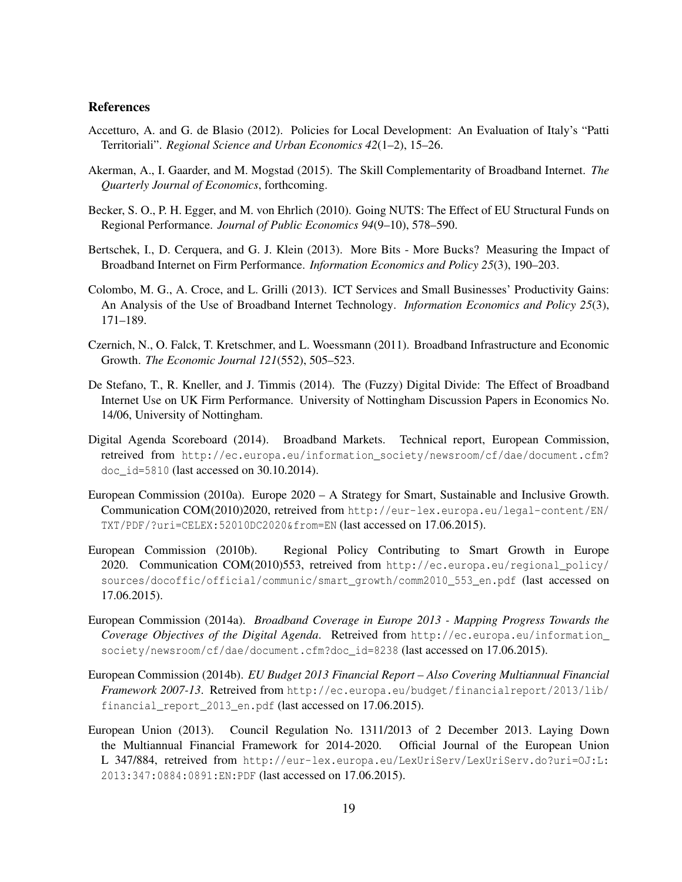#### References

- <span id="page-21-3"></span>Accetturo, A. and G. de Blasio (2012). Policies for Local Development: An Evaluation of Italy's "Patti Territoriali". *Regional Science and Urban Economics 42*(1–2), 15–26.
- <span id="page-21-7"></span>Akerman, A., I. Gaarder, and M. Mogstad (2015). The Skill Complementarity of Broadband Internet. *The Quarterly Journal of Economics*, forthcoming.
- <span id="page-21-2"></span>Becker, S. O., P. H. Egger, and M. von Ehrlich (2010). Going NUTS: The Effect of EU Structural Funds on Regional Performance. *Journal of Public Economics 94*(9–10), 578–590.
- <span id="page-21-9"></span>Bertschek, I., D. Cerquera, and G. J. Klein (2013). More Bits - More Bucks? Measuring the Impact of Broadband Internet on Firm Performance. *Information Economics and Policy 25*(3), 190–203.
- <span id="page-21-10"></span>Colombo, M. G., A. Croce, and L. Grilli (2013). ICT Services and Small Businesses' Productivity Gains: An Analysis of the Use of Broadband Internet Technology. *Information Economics and Policy 25*(3), 171–189.
- <span id="page-21-6"></span>Czernich, N., O. Falck, T. Kretschmer, and L. Woessmann (2011). Broadband Infrastructure and Economic Growth. *The Economic Journal 121*(552), 505–523.
- <span id="page-21-11"></span>De Stefano, T., R. Kneller, and J. Timmis (2014). The (Fuzzy) Digital Divide: The Effect of Broadband Internet Use on UK Firm Performance. University of Nottingham Discussion Papers in Economics No. 14/06, University of Nottingham.
- <span id="page-21-8"></span>Digital Agenda Scoreboard (2014). Broadband Markets. Technical report, European Commission, retreived from [http://ec.europa.eu/information\\_society/newsroom/cf/dae/document.cfm?](http://ec.europa.eu/information_society/newsroom/cf/dae/document.cfm?doc_id=5810) [doc\\_id=5810](http://ec.europa.eu/information_society/newsroom/cf/dae/document.cfm?doc_id=5810) (last accessed on 30.10.2014).
- <span id="page-21-4"></span>European Commission (2010a). Europe 2020 – A Strategy for Smart, Sustainable and Inclusive Growth. Communication COM(2010)2020, retreived from [http://eur-lex.europa.eu/legal-content/EN/](http://eur-lex.europa.eu/legal-content/EN/TXT/PDF/?uri=CELEX:52010DC2020&from=EN) [TXT/PDF/?uri=CELEX:52010DC2020&from=EN](http://eur-lex.europa.eu/legal-content/EN/TXT/PDF/?uri=CELEX:52010DC2020&from=EN) (last accessed on 17.06.2015).
- <span id="page-21-5"></span>European Commission (2010b). Regional Policy Contributing to Smart Growth in Europe 2020. Communication COM(2010)553, retreived from [http://ec.europa.eu/regional\\_policy/](http://ec.europa.eu/regional_policy/sources/docoffic/official/communic/smart_growth/comm2010_553_en.pdf) [sources/docoffic/official/communic/smart\\_growth/comm2010\\_553\\_en.pdf](http://ec.europa.eu/regional_policy/sources/docoffic/official/communic/smart_growth/comm2010_553_en.pdf) (last accessed on 17.06.2015).
- <span id="page-21-12"></span>European Commission (2014a). *Broadband Coverage in Europe 2013 - Mapping Progress Towards the Coverage Objectives of the Digital Agenda*. Retreived from [http://ec.europa.eu/information\\_](http://ec.europa.eu/information_society/newsroom/cf/dae/document.cfm?doc_id=8238) [society/newsroom/cf/dae/document.cfm?doc\\_id=8238](http://ec.europa.eu/information_society/newsroom/cf/dae/document.cfm?doc_id=8238) (last accessed on 17.06.2015).
- <span id="page-21-1"></span>European Commission (2014b). *EU Budget 2013 Financial Report – Also Covering Multiannual Financial Framework 2007-13*. Retreived from [http://ec.europa.eu/budget/financialreport/2013/lib/](http://ec.europa.eu/budget/financialreport/2013/lib/financial_report_2013_en.pdf) financial report 2013 en.pdf (last accessed on 17.06.2015).
- <span id="page-21-0"></span>European Union (2013). Council Regulation No. 1311/2013 of 2 December 2013. Laying Down the Multiannual Financial Framework for 2014-2020. Official Journal of the European Union L 347/884, retreived from [http://eur-lex.europa.eu/LexUriServ/LexUriServ.do?uri=OJ:L:](http://eur-lex.europa.eu/LexUriServ/LexUriServ.do?uri=OJ:L:2013:347:0884:0891:EN:PDF) [2013:347:0884:0891:EN:PDF](http://eur-lex.europa.eu/LexUriServ/LexUriServ.do?uri=OJ:L:2013:347:0884:0891:EN:PDF) (last accessed on 17.06.2015).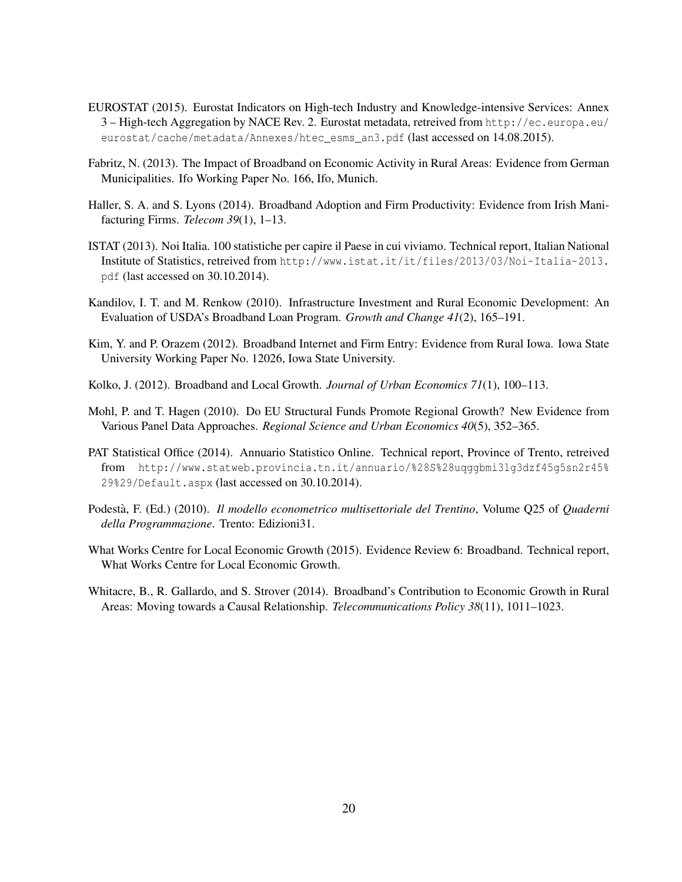- <span id="page-22-11"></span>EUROSTAT (2015). Eurostat Indicators on High-tech Industry and Knowledge-intensive Services: Annex 3 – High-tech Aggregation by NACE Rev. 2. Eurostat metadata, retreived from [http://ec.europa.eu/](http://ec.europa.eu/eurostat/cache/metadata/Annexes/htec_esms_an3.pdf) [eurostat/cache/metadata/Annexes/htec\\_esms\\_an3.pdf](http://ec.europa.eu/eurostat/cache/metadata/Annexes/htec_esms_an3.pdf) (last accessed on 14.08.2015).
- <span id="page-22-5"></span>Fabritz, N. (2013). The Impact of Broadband on Economic Activity in Rural Areas: Evidence from German Municipalities. Ifo Working Paper No. 166, Ifo, Munich.
- <span id="page-22-6"></span>Haller, S. A. and S. Lyons (2014). Broadband Adoption and Firm Productivity: Evidence from Irish Manifacturing Firms. *Telecom 39*(1), 1–13.
- <span id="page-22-8"></span>ISTAT (2013). Noi Italia. 100 statistiche per capire il Paese in cui viviamo. Technical report, Italian National Institute of Statistics, retreived from [http://www.istat.it/it/files/2013/03/Noi-Italia-2013.](http://www.istat.it/it/files/2013/03/Noi-Italia-2013.pdf) [pdf](http://www.istat.it/it/files/2013/03/Noi-Italia-2013.pdf) (last accessed on 30.10.2014).
- <span id="page-22-1"></span>Kandilov, I. T. and M. Renkow (2010). Infrastructure Investment and Rural Economic Development: An Evaluation of USDA's Broadband Loan Program. *Growth and Change 41*(2), 165–191.
- <span id="page-22-2"></span>Kim, Y. and P. Orazem (2012). Broadband Internet and Firm Entry: Evidence from Rural Iowa. Iowa State University Working Paper No. 12026, Iowa State University.
- <span id="page-22-4"></span>Kolko, J. (2012). Broadband and Local Growth. *Journal of Urban Economics 71*(1), 100–113.
- <span id="page-22-0"></span>Mohl, P. and T. Hagen (2010). Do EU Structural Funds Promote Regional Growth? New Evidence from Various Panel Data Approaches. *Regional Science and Urban Economics 40*(5), 352–365.
- <span id="page-22-9"></span>PAT Statistical Office (2014). Annuario Statistico Online. Technical report, Province of Trento, retreived from [http://www.statweb.provincia.tn.it/annuario/%28S%28uqggbmi3lg3dzf45g5sn2r45%](http://www.statweb.provincia.tn.it/annuario/%28S%28uqggbmi3lg3dzf45g5sn2r45%29%29/Default.aspx) [29%29/Default.aspx](http://www.statweb.provincia.tn.it/annuario/%28S%28uqggbmi3lg3dzf45g5sn2r45%29%29/Default.aspx) (last accessed on 30.10.2014).
- <span id="page-22-10"></span>Podestà, F. (Ed.) (2010). *Il modello econometrico multisettoriale del Trentino*, Volume Q25 of *Quaderni della Programmazione*. Trento: Edizioni31.
- <span id="page-22-7"></span>What Works Centre for Local Economic Growth (2015). Evidence Review 6: Broadband. Technical report, What Works Centre for Local Economic Growth.
- <span id="page-22-3"></span>Whitacre, B., R. Gallardo, and S. Strover (2014). Broadband's Contribution to Economic Growth in Rural Areas: Moving towards a Causal Relationship. *Telecommunications Policy 38*(11), 1011–1023.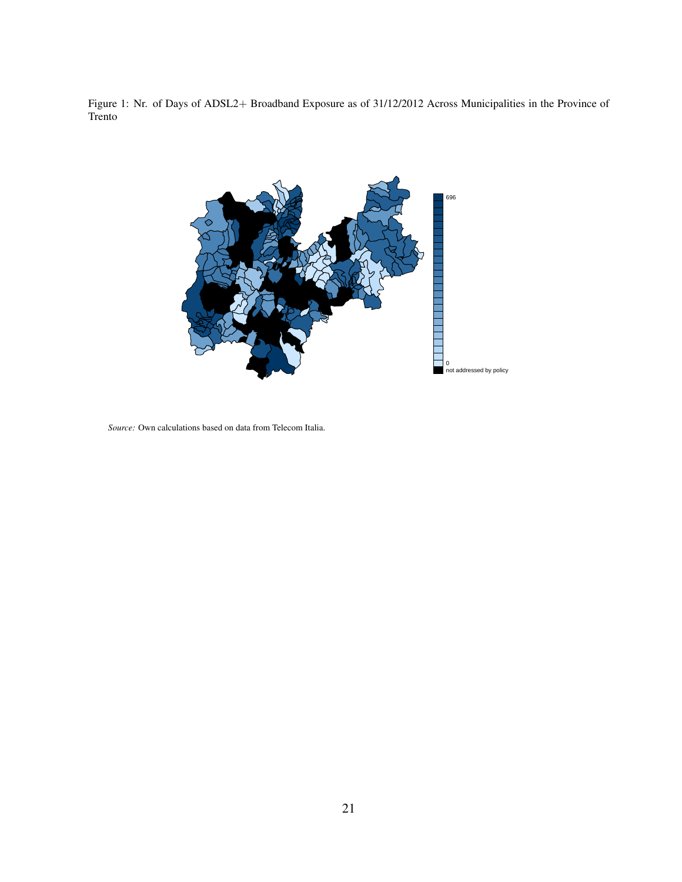<span id="page-23-0"></span>Figure 1: Nr. of Days of ADSL2+ Broadband Exposure as of 31/12/2012 Across Municipalities in the Province of Trento



*Source:* Own calculations based on data from Telecom Italia.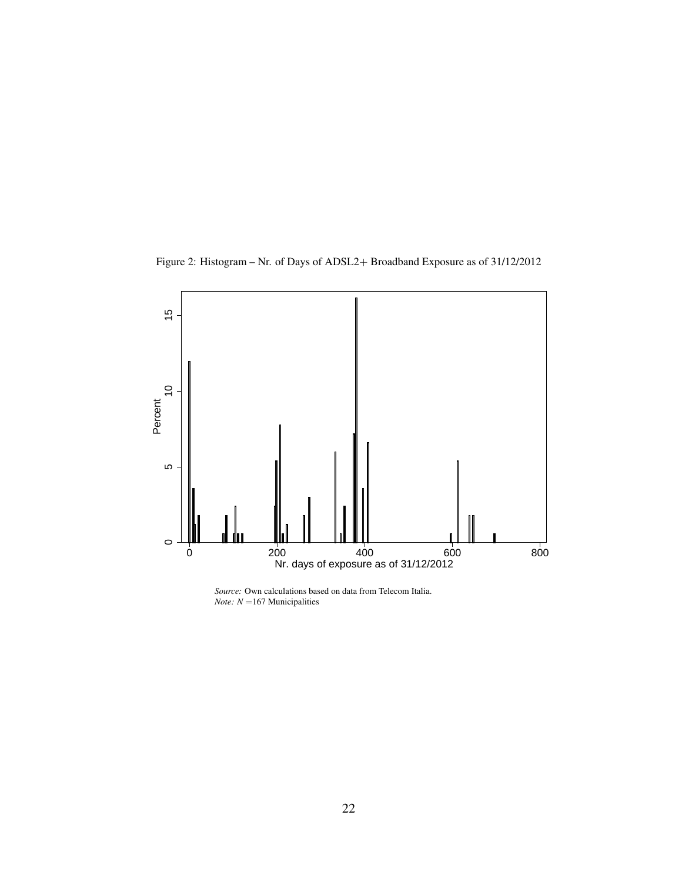Figure 2: Histogram – Nr. of Days of ADSL2+ Broadband Exposure as of 31/12/2012

<span id="page-24-0"></span>

*Source:* Own calculations based on data from Telecom Italia. *Note: N* =167 Municipalities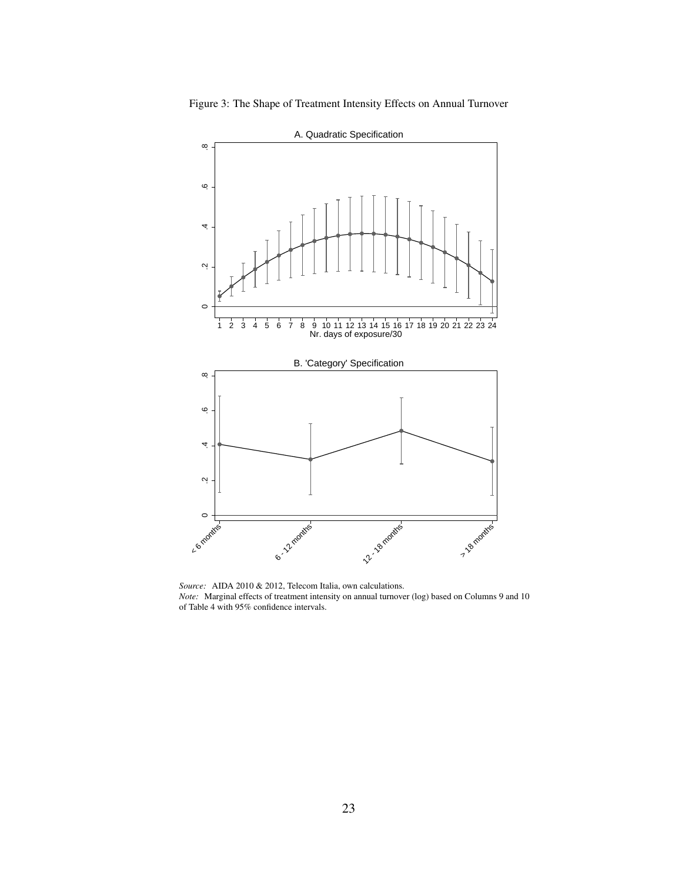<span id="page-25-0"></span>



*Source:* AIDA 2010 & 2012, Telecom Italia, own calculations. *Note:* Marginal effects of treatment intensity on annual turnover (log) based on Columns 9 and 10 of Table [4](#page-32-0) with 95% confidence intervals.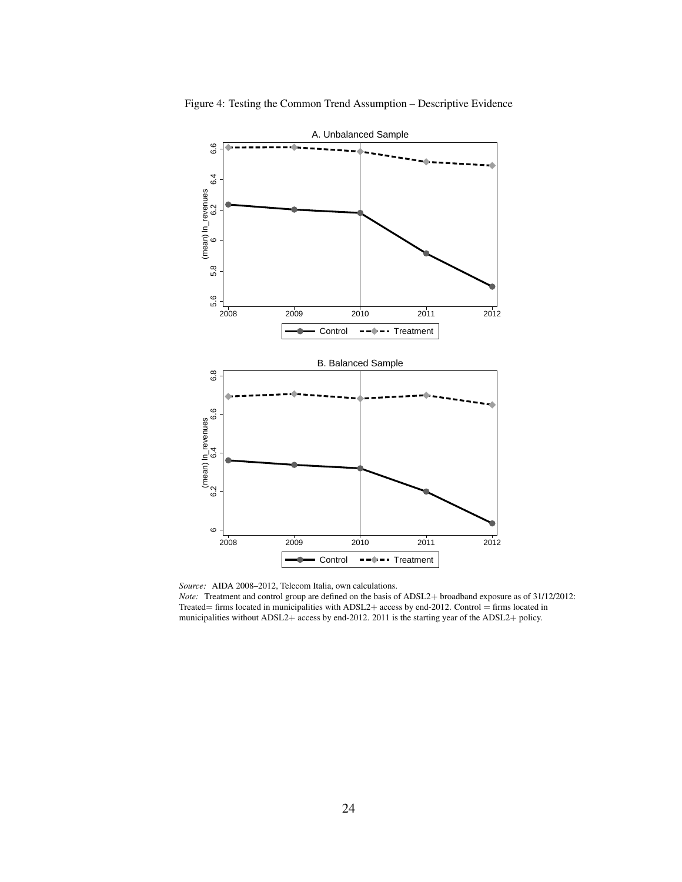

<span id="page-26-0"></span>Figure 4: Testing the Common Trend Assumption – Descriptive Evidence

*Note:* Treatment and control group are defined on the basis of ADSL2+ broadband exposure as of 31/12/2012: Treated= firms located in municipalities with ADSL2+ access by end-2012. Control = firms located in municipalities without ADSL2+ access by end-2012. 2011 is the starting year of the ADSL2+ policy.

*Source:* AIDA 2008–2012, Telecom Italia, own calculations.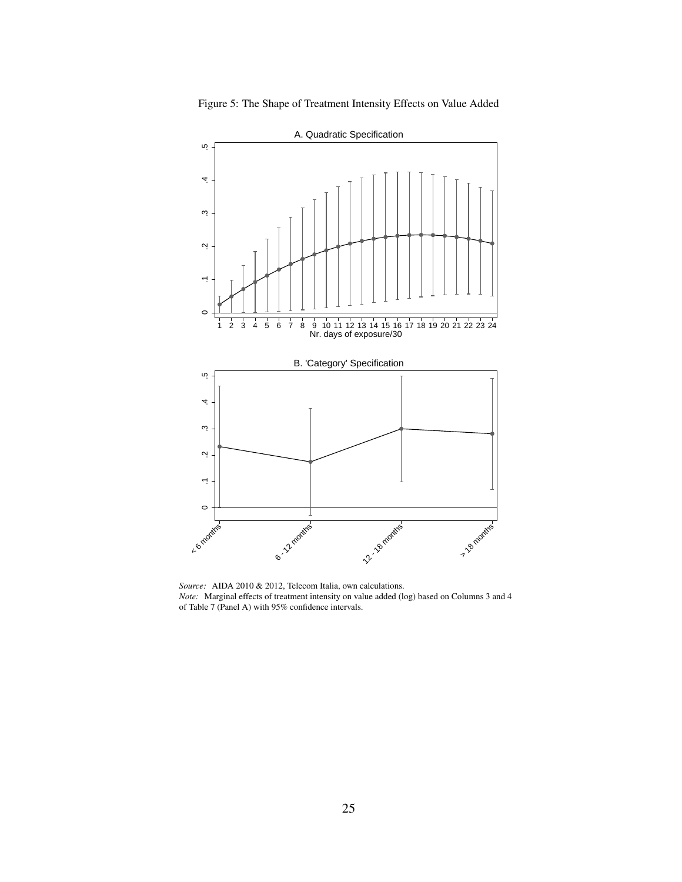

<span id="page-27-0"></span>

*Source:* AIDA 2010 & 2012, Telecom Italia, own calculations. *Note:* Marginal effects of treatment intensity on value added (log) based on Columns 3 and 4 of Table [7](#page-35-0) (Panel A) with 95% confidence intervals.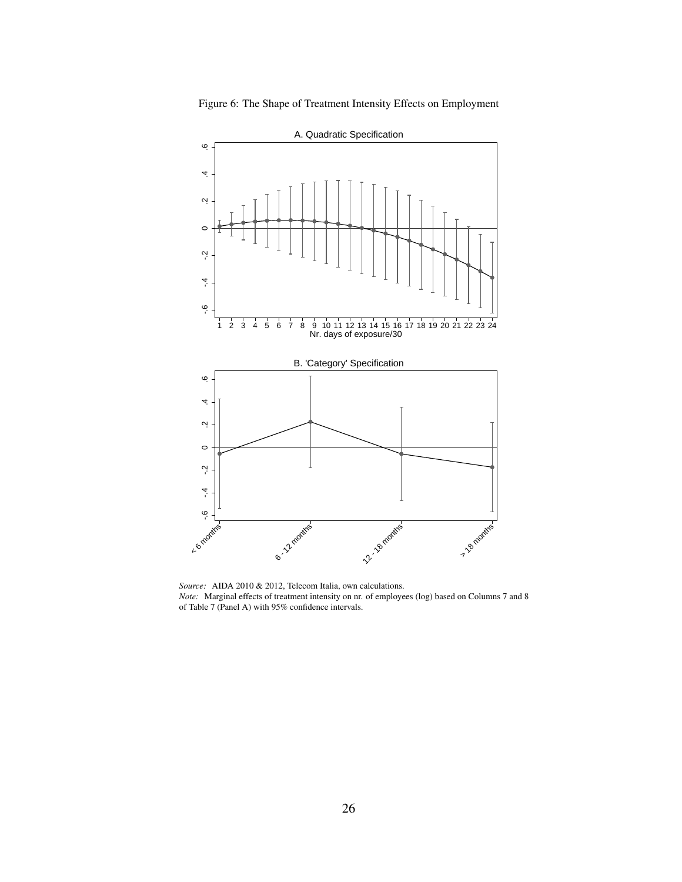<span id="page-28-0"></span>



*Source:* AIDA 2010 & 2012, Telecom Italia, own calculations. *Note:* Marginal effects of treatment intensity on nr. of employees (log) based on Columns 7 and 8 of Table [7](#page-35-0) (Panel A) with 95% confidence intervals.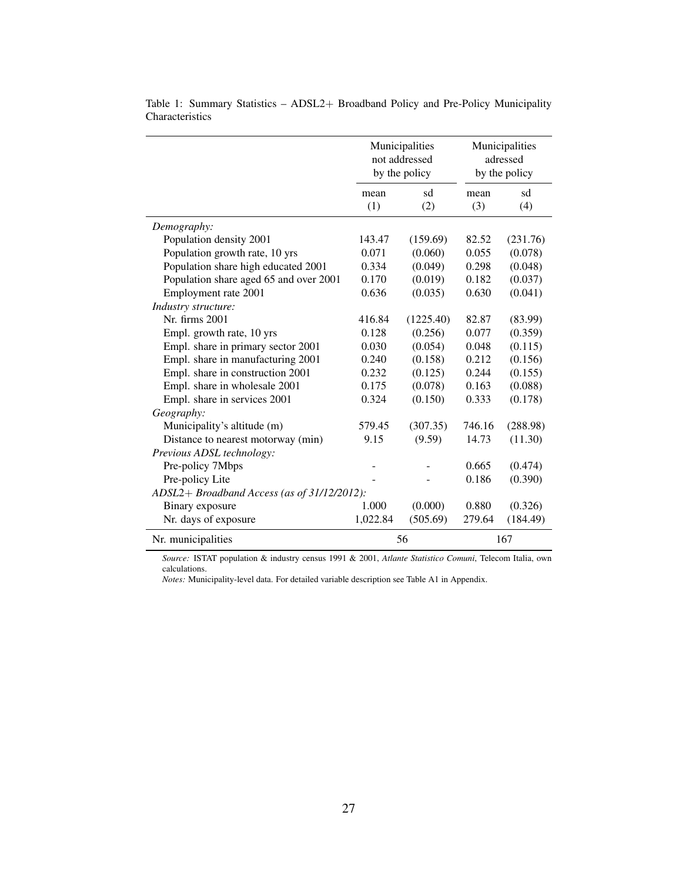|                                             |          | Municipalities<br>not addressed<br>by the policy |        | Municipalities<br>adressed<br>by the policy |
|---------------------------------------------|----------|--------------------------------------------------|--------|---------------------------------------------|
|                                             | mean     | sd                                               | mean   | sd                                          |
|                                             | (1)      | (2)                                              | (3)    | (4)                                         |
| Demography:                                 |          |                                                  |        |                                             |
| Population density 2001                     | 143.47   | (159.69)                                         | 82.52  | (231.76)                                    |
| Population growth rate, 10 yrs              | 0.071    | (0.060)                                          | 0.055  | (0.078)                                     |
| Population share high educated 2001         | 0.334    | (0.049)                                          | 0.298  | (0.048)                                     |
| Population share aged 65 and over 2001      | 0.170    | (0.019)                                          | 0.182  | (0.037)                                     |
| Employment rate 2001                        | 0.636    | (0.035)                                          | 0.630  | (0.041)                                     |
| Industry structure:                         |          |                                                  |        |                                             |
| Nr. firms 2001                              | 416.84   | (1225.40)                                        | 82.87  | (83.99)                                     |
| Empl. growth rate, 10 yrs                   | 0.128    | (0.256)                                          | 0.077  | (0.359)                                     |
| Empl. share in primary sector 2001          | 0.030    | (0.054)                                          | 0.048  | (0.115)                                     |
| Empl. share in manufacturing 2001           | 0.240    | (0.158)                                          | 0.212  | (0.156)                                     |
| Empl. share in construction 2001            | 0.232    | (0.125)                                          | 0.244  | (0.155)                                     |
| Empl. share in wholesale 2001               | 0.175    | (0.078)                                          | 0.163  | (0.088)                                     |
| Empl. share in services 2001                | 0.324    | (0.150)                                          | 0.333  | (0.178)                                     |
| Geography:                                  |          |                                                  |        |                                             |
| Municipality's altitude (m)                 | 579.45   | (307.35)                                         | 746.16 | (288.98)                                    |
| Distance to nearest motorway (min)          | 9.15     | (9.59)                                           | 14.73  | (11.30)                                     |
| Previous ADSL technology:                   |          |                                                  |        |                                             |
| Pre-policy 7Mbps                            |          |                                                  | 0.665  | (0.474)                                     |
| Pre-policy Lite                             |          |                                                  | 0.186  | (0.390)                                     |
| ADSL2+ Broadband Access (as of 31/12/2012): |          |                                                  |        |                                             |
| Binary exposure                             | 1.000    | (0.000)                                          | 0.880  | (0.326)                                     |
| Nr. days of exposure                        | 1,022.84 | (505.69)                                         | 279.64 | (184.49)                                    |
| Nr. municipalities                          |          | 56                                               |        | 167                                         |

<span id="page-29-0"></span>Table 1: Summary Statistics – ADSL2+ Broadband Policy and Pre-Policy Municipality Characteristics

*Source:* ISTAT population & industry census 1991 & 2001, *Atlante Statistico Comuni*, Telecom Italia, own calculations.

*Notes:* Municipality-level data. For detailed variable description see Table [A1](#page-38-0) in Appendix.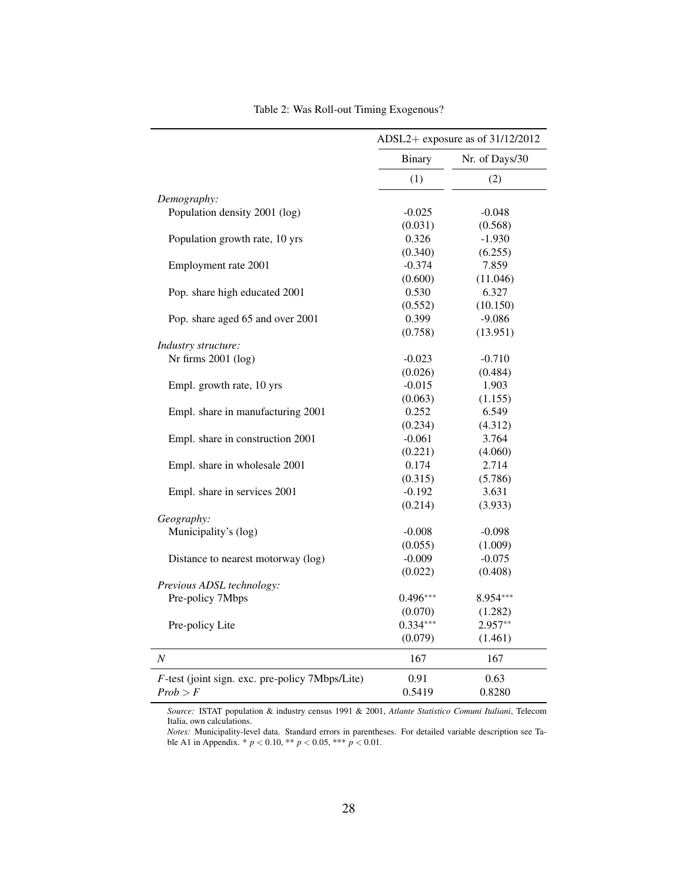<span id="page-30-0"></span>

|                                                    |               | ADSL2+ exposure as of $31/12/2012$ |
|----------------------------------------------------|---------------|------------------------------------|
|                                                    | <b>Binary</b> | Nr. of Days/30                     |
|                                                    | (1)           | (2)                                |
| Demography:                                        |               |                                    |
| Population density 2001 (log)                      | $-0.025$      | $-0.048$                           |
|                                                    | (0.031)       | (0.568)                            |
| Population growth rate, 10 yrs                     | 0.326         | $-1.930$                           |
|                                                    | (0.340)       | (6.255)                            |
| Employment rate 2001                               | $-0.374$      | 7.859                              |
|                                                    | (0.600)       | (11.046)                           |
| Pop. share high educated 2001                      | 0.530         | 6.327                              |
|                                                    | (0.552)       | (10.150)                           |
| Pop. share aged 65 and over 2001                   | 0.399         | $-9.086$                           |
|                                                    | (0.758)       | (13.951)                           |
| Industry structure:                                |               |                                    |
| Nr firms 2001 (log)                                | $-0.023$      | $-0.710$                           |
|                                                    | (0.026)       | (0.484)                            |
| Empl. growth rate, 10 yrs                          | $-0.015$      | 1.903                              |
|                                                    | (0.063)       | (1.155)                            |
| Empl. share in manufacturing 2001                  | 0.252         | 6.549                              |
|                                                    | (0.234)       | (4.312)                            |
| Empl. share in construction 2001                   | $-0.061$      | 3.764                              |
|                                                    | (0.221)       | (4.060)                            |
| Empl. share in wholesale 2001                      | 0.174         | 2.714                              |
|                                                    | (0.315)       | (5.786)                            |
| Empl. share in services 2001                       | $-0.192$      | 3.631                              |
|                                                    | (0.214)       | (3.933)                            |
| Geography:                                         |               |                                    |
| Municipality's (log)                               | $-0.008$      | $-0.098$                           |
|                                                    | (0.055)       | (1.009)                            |
| Distance to nearest motorway (log)                 | $-0.009$      | $-0.075$                           |
|                                                    | (0.022)       | (0.408)                            |
| Previous ADSL technology:                          |               |                                    |
| Pre-policy 7Mbps                                   | $0.496***$    | 8.954***                           |
|                                                    | (0.070)       | (1.282)                            |
| Pre-policy Lite                                    | $0.334***$    | 2.957**                            |
|                                                    | (0.079)       | (1.461)                            |
| $\boldsymbol{N}$                                   | 167           | 167                                |
| $F$ -test (joint sign. exc. pre-policy 7Mbps/Lite) | 0.91          | 0.63                               |
| Prob > F                                           | 0.5419        | 0.8280                             |

Table 2: Was Roll-out Timing Exogenous?

*Source:* ISTAT population & industry census 1991 & 2001, *Atlante Statistico Comuni Italiani*, Telecom Italia, own calculations.

*Notes:* Municipality-level data. Standard errors in parentheses. For detailed variable description see Table [A1](#page-38-0) in Appendix. \* *p* < 0.10, \*\* *p* < 0.05, \*\*\* *p* < 0.01.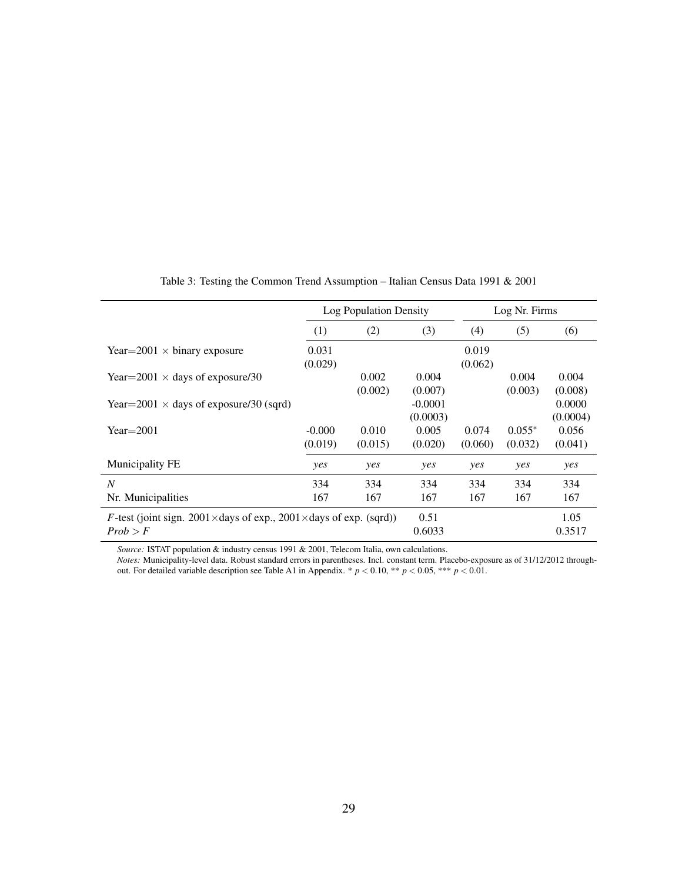<span id="page-31-0"></span>

|                                                                          |          | Log Population Density |           |         | Log Nr. Firms |          |
|--------------------------------------------------------------------------|----------|------------------------|-----------|---------|---------------|----------|
|                                                                          | (1)      | (2)                    | (3)       | (4)     | (5)           | (6)      |
| Year=2001 $\times$ binary exposure                                       | 0.031    |                        |           | 0.019   |               |          |
|                                                                          | (0.029)  |                        |           | (0.062) |               |          |
| Year= $2001 \times$ days of exposure/30                                  |          | 0.002                  | 0.004     |         | 0.004         | 0.004    |
|                                                                          |          | (0.002)                | (0.007)   |         | (0.003)       | (0.008)  |
| Year=2001 $\times$ days of exposure/30 (sqrd)                            |          |                        | $-0.0001$ |         |               | 0.0000   |
|                                                                          |          |                        | (0.0003)  |         |               | (0.0004) |
| $Year = 2001$                                                            | $-0.000$ | 0.010                  | 0.005     | 0.074   | $0.055*$      | 0.056    |
|                                                                          | (0.019)  | (0.015)                | (0.020)   | (0.060) | (0.032)       | (0.041)  |
| Municipality FE                                                          | yes      | yes                    | yes       | yes     | yes           | yes      |
| N                                                                        | 334      | 334                    | 334       | 334     | 334           | 334      |
| Nr. Municipalities                                                       | 167      | 167                    | 167       | 167     | 167           | 167      |
| <i>F</i> -test (joint sign. 2001×days of exp., 2001×days of exp. (sqrd)) |          |                        | 0.51      |         |               | 1.05     |
| Prob > F                                                                 |          |                        | 0.6033    |         |               | 0.3517   |

Table 3: Testing the Common Trend Assumption – Italian Census Data 1991 & 2001

*Source:* ISTAT population & industry census 1991 & 2001, Telecom Italia, own calculations.

*Notes:* Municipality-level data. Robust standard errors in parentheses. Incl. constant term. Placebo-exposure as of 31/12/2012 through-out. For detailed variable description see Table [A1](#page-38-0) in Appendix.  $*$   $p$  < 0.10,  $**$   $p$  < 0.05,  $***$   $p$  < 0.01.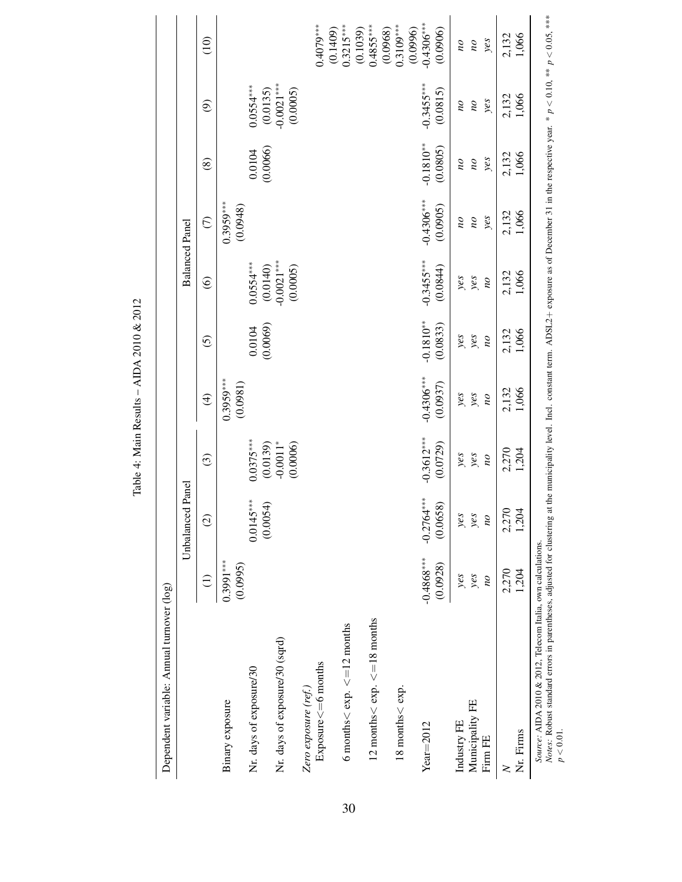| ١                                                                                                                                                                                                                                 |
|-----------------------------------------------------------------------------------------------------------------------------------------------------------------------------------------------------------------------------------|
| Š                                                                                                                                                                                                                                 |
| ì                                                                                                                                                                                                                                 |
| j<br>$\ddot{\phantom{0}}$                                                                                                                                                                                                         |
|                                                                                                                                                                                                                                   |
|                                                                                                                                                                                                                                   |
| 2010                                                                                                                                                                                                                              |
| in the control of the control of the control of the control of the control of the control of the control of th<br>Control of the control of the control of the control of the control of the control of the control of the contro |
| í                                                                                                                                                                                                                                 |
|                                                                                                                                                                                                                                   |
|                                                                                                                                                                                                                                   |
|                                                                                                                                                                                                                                   |
|                                                                                                                                                                                                                                   |
|                                                                                                                                                                                                                                   |
| s<br>C                                                                                                                                                                                                                            |
|                                                                                                                                                                                                                                   |
| į                                                                                                                                                                                                                                 |
| i                                                                                                                                                                                                                                 |
|                                                                                                                                                                                                                                   |
|                                                                                                                                                                                                                                   |
|                                                                                                                                                                                                                                   |
| ă                                                                                                                                                                                                                                 |
| ۔<br>اگر                                                                                                                                                                                                                          |
|                                                                                                                                                                                                                                   |

<span id="page-32-0"></span>

|                                                                                                                                                                                                                                                                                   |                                | Panel<br>Unbalanced               |                                 |                                |                                |                                | <b>Balanced Panel</b>                         |                                                |                                               |                                              |
|-----------------------------------------------------------------------------------------------------------------------------------------------------------------------------------------------------------------------------------------------------------------------------------|--------------------------------|-----------------------------------|---------------------------------|--------------------------------|--------------------------------|--------------------------------|-----------------------------------------------|------------------------------------------------|-----------------------------------------------|----------------------------------------------|
|                                                                                                                                                                                                                                                                                   | $\widehat{\Xi}$                | $\widehat{\odot}$                 | $\odot$                         | $\widehat{\mathcal{F}}$        | $\widehat{c}$                  | $\widehat{\mathbf{e}}$         | $\widehat{C}$                                 | $\circledS$                                    | $\widehat{\mathfrak{S}}$                      | $\frac{10}{10}$                              |
| Binary exposure                                                                                                                                                                                                                                                                   | $0.3991***$<br>(0.0995)        |                                   |                                 | $0.3959***$<br>(0.0981)        |                                |                                | $0.3959***$<br>(0.0948)                       |                                                |                                               |                                              |
| Nr. days of exposure/30                                                                                                                                                                                                                                                           |                                | $0.0145***$<br>(0.0054)           | $0.0375***$<br>(0.0139)         |                                | (0.0069)<br>0.0104             | $0.0554***$<br>(0.0140)        |                                               | $0.0104$<br>$(0.0066)$                         | $0.0554***$<br>(0.0135)                       |                                              |
| Nr. days of exposure/30 (sqrd)                                                                                                                                                                                                                                                    |                                |                                   | $-0.0011*$<br>(0.0006)          |                                |                                | $-0.0021***$<br>(0.0005)       |                                               |                                                | $0.0021***$<br>(0.0005)                       |                                              |
| $Exposure \leq 6$ months<br>Zero exposure (ref.)                                                                                                                                                                                                                                  |                                |                                   |                                 |                                |                                |                                |                                               |                                                |                                               | $0.4079***$                                  |
| 6 months $<$ exp. $\leq$ = 12 months                                                                                                                                                                                                                                              |                                |                                   |                                 |                                |                                |                                |                                               |                                                |                                               | $0.3215***$<br>(0.1409)                      |
| 12 months $\lt$ exp. $\lt = 18$ months                                                                                                                                                                                                                                            |                                |                                   |                                 |                                |                                |                                |                                               |                                                |                                               | $0.4855***$<br>(0.1039)                      |
| $18$ months $<$ exp.                                                                                                                                                                                                                                                              |                                |                                   |                                 |                                |                                |                                |                                               |                                                |                                               | $0.3109***$<br>(0.0968)                      |
| $Year=2012$                                                                                                                                                                                                                                                                       | $-0.4868***$<br>(0.0928)       | $-0.2764***$<br>(0.0658)          | $-0.3612***$<br>(0.0729)        | $-0.4306***$<br>(0.0937)       | $-0.1810**$<br>(0.0833)        | $-0.3455***$<br>(0.0844)       | $-0.4306***$<br>(0.0905)                      | $-0.1810**$<br>(0.0805)                        | $-0.3455***$<br>(0.0815)                      | $-0.4306***$<br>(0.0996)<br>(0.0906)         |
| Municipality FE<br>Industry FE<br>Firm FE                                                                                                                                                                                                                                         | yes<br>yes<br>$\overline{\nu}$ | yeg<br>yes<br>$\overline{\omega}$ | yes<br>yeg<br>$\overline{\rho}$ | yes<br>yes<br>$\overline{\nu}$ | yes<br>yeg<br>$\overline{\nu}$ | yes<br>yeg<br>$\overline{\nu}$ | yes<br>$\overline{\rho}$<br>$\overline{\rho}$ | yes<br>$\overline{\omega}$<br>$\overline{\nu}$ | yes<br>$\overline{\rho}$<br>$\overline{\rho}$ | yes<br>$\overline{\rho}$<br>$\overline{\nu}$ |
| $\geq$                                                                                                                                                                                                                                                                            | 2,270                          | 2,270                             | 2,270                           | 2,132                          | 2,132                          | 2,132                          | 2,132                                         | 2,132                                          | 2,132                                         | 2,132                                        |
| Nr. Firms                                                                                                                                                                                                                                                                         | 1,204                          | 1,204                             | 1,204                           | 1,066                          | 1,066                          | 1,066                          | 1,066                                         | 1,066                                          | 1,066                                         | 1,066                                        |
| Notes: Robust standard errors in parentheses, adjusted for clustering at the municipality level. Incl. constant term. ADSL2+ exposure as of December 31 in the respective year. * $p < 0.10$ , ** $p < 0.05$ , ***<br>Source: AIDA 2010 & 2012, Telecom Italia, own calculations. |                                |                                   |                                 |                                |                                |                                |                                               |                                                |                                               |                                              |

*Notes*: Robust standard errors in parentheses, adjusted for clustering at the municipality level. Incl. constant term. ADSL2+ exposure as of December 31 in the respective year. \*  $p < 0.10$ , \*\*  $p < 0.05$ , \*\* or December 31 in the respective year. " ADSL2+ exposure as ss, adjusted for clustering at the municipality level. Incl. constant term. *Notes*: Robust standard errors in parenthe<br> $p < 0.01$ .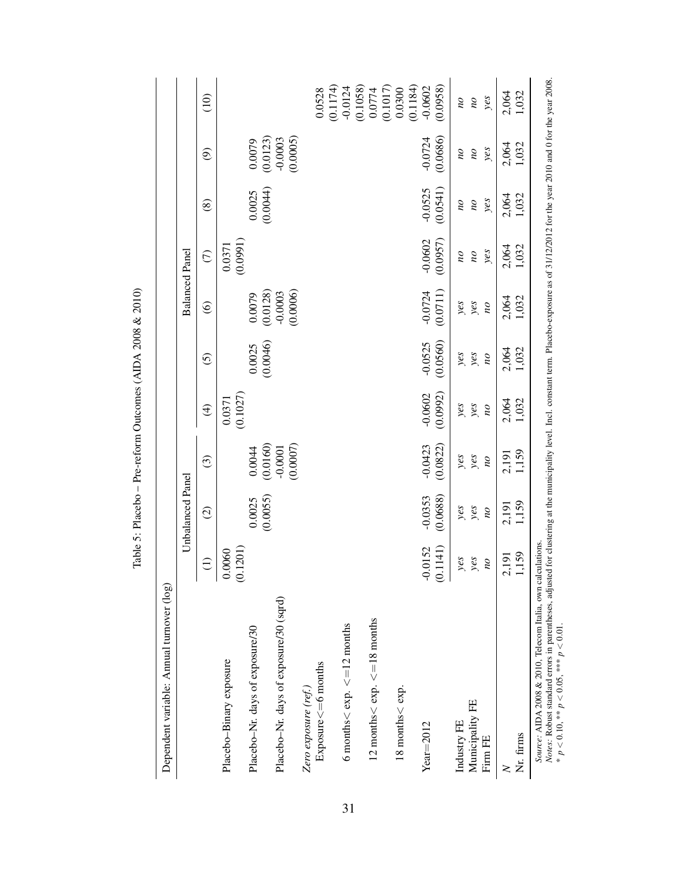| Dependent variable: Annual turnover (log)                                                                                                                                                                                                                         |                                |                                |                                 |                                 |                                |                        |                                                 |                                                 |                                               |                                                 |
|-------------------------------------------------------------------------------------------------------------------------------------------------------------------------------------------------------------------------------------------------------------------|--------------------------------|--------------------------------|---------------------------------|---------------------------------|--------------------------------|------------------------|-------------------------------------------------|-------------------------------------------------|-----------------------------------------------|-------------------------------------------------|
|                                                                                                                                                                                                                                                                   |                                | Unbalanced Panel               |                                 |                                 |                                |                        | <b>Balanced Panel</b>                           |                                                 |                                               |                                                 |
|                                                                                                                                                                                                                                                                   | $\ominus$<br>$\mathbf{I}$      | $\widehat{c}$                  | $\odot$                         | $\widehat{\mathfrak{t}}$        | $\widehat{c}$                  | $\widehat{\mathbf{e}}$ | $\widehat{C}$                                   | $\circledS$                                     | $\widehat{\Theta}$                            | $\frac{1}{2}$                                   |
| Placebo-Binary exposure                                                                                                                                                                                                                                           | (0.1201)<br>0.0060             |                                |                                 | (0.1027)<br>0.0371              |                                |                        | (0.0991)<br>0.0371                              |                                                 |                                               |                                                 |
| Placebo-Nr. days of exposure/30                                                                                                                                                                                                                                   |                                | (0.0055)<br>0.0025             | (0.0160)<br>0.0044              |                                 | (0.0046)<br>0.0025             | (0.0128)<br>0.0079     |                                                 | (0.0044)<br>0.0025                              | (0.0123)<br>0.0079                            |                                                 |
| Placebo-Nr. days of exposure/30 (sqrd)                                                                                                                                                                                                                            |                                |                                | (0.0007)<br>$-0.0001$           |                                 |                                | (0.0006)<br>$-0.0003$  |                                                 |                                                 | (0.0005)<br>$-0.0003$                         |                                                 |
| $Exposure \leq = 6$ months<br>Zero exposure (ref.)                                                                                                                                                                                                                |                                |                                |                                 |                                 |                                |                        |                                                 |                                                 |                                               | 0.0528                                          |
| 6 months $\lt$ exp. $\lt = 12$ months                                                                                                                                                                                                                             |                                |                                |                                 |                                 |                                |                        |                                                 |                                                 |                                               | (0.1174)<br>$-0.0124$                           |
| 12 months $\lt$ exp. $\lt = 18$ months                                                                                                                                                                                                                            |                                |                                |                                 |                                 |                                |                        |                                                 |                                                 |                                               | (0.1058)<br>(0.1017)<br>0.0774                  |
| $18$ months $<$ exp.                                                                                                                                                                                                                                              |                                |                                |                                 |                                 |                                |                        |                                                 |                                                 |                                               | (0.1184)<br>0.0300                              |
| $Year = 2012$                                                                                                                                                                                                                                                     | $-0.0152$<br>(0.1141)          | $-0.0353$<br>(0.0688)          | $-0.0423$<br>(0.0822)           | $-0.0602$<br>(0.0992)           | $-0.0525$<br>(0.0560)          | $-0.0724$<br>(0.0711)  | $-0.0602$<br>(0.0957)                           | $-0.0525$<br>(0.0541)                           | (0.0686)<br>$-0.0724$                         | (0.0958)<br>$-0.0602$                           |
| Municipality FE<br>Industry FE<br>Firm FE                                                                                                                                                                                                                         | yes<br>yes<br>$\overline{\nu}$ | yes<br>yes<br>$\overline{\nu}$ | yes<br>yes<br>$\overline{\rho}$ | yes<br>yeg<br>$\overline{\rho}$ | yeg<br>yes<br>$\overline{\nu}$ | yes<br>yes<br>po       | yes<br>$\overline{\omega}$<br>$\overline{\rho}$ | yes<br>$\overline{\omega}$<br>$\overline{\rho}$ | yes<br>$\overline{\rho}$<br>$\overline{\rho}$ | yes<br>$\overline{\omega}$<br>$\overline{\rho}$ |
| Nr. firms<br>$\geq$                                                                                                                                                                                                                                               | 1,159<br>2,191                 | 1,159<br>2,191                 | 1,159<br>2,191                  | 1,032<br>2,064                  | 1,032<br>2,064                 | 1,032<br>2,064         | 2,064<br>1,032                                  | 1,032<br>2,064                                  | 1,032<br>2,064                                | 2,064<br>1,032                                  |
| Notes: Robust standard errors in parentheses, adjusted for clustering at the municipality level. Incl. constant term. Placebo-exposure as of 31/12/2012 for the year 2010 and 0 for the year 2008.<br>Source: AIDA 2008 & 2010, Telecom Italia, own calculations. |                                |                                |                                 |                                 |                                |                        |                                                 |                                                 |                                               |                                                 |

<span id="page-33-0"></span>Table 5: Placebo - Pre-reform Outcomes (AIDA 2008 & 2010) Table 5: Placebo – Pre-reform Outcomes (AIDA 2008 & 2010)

\*\*  $p < 0.01$ . *p* < 0.10, \*\* *p* < 0.05, \*\*\* *p* < 0.01.  $p < 0.10$ , \*\*  $p < 0.05$ , \*\*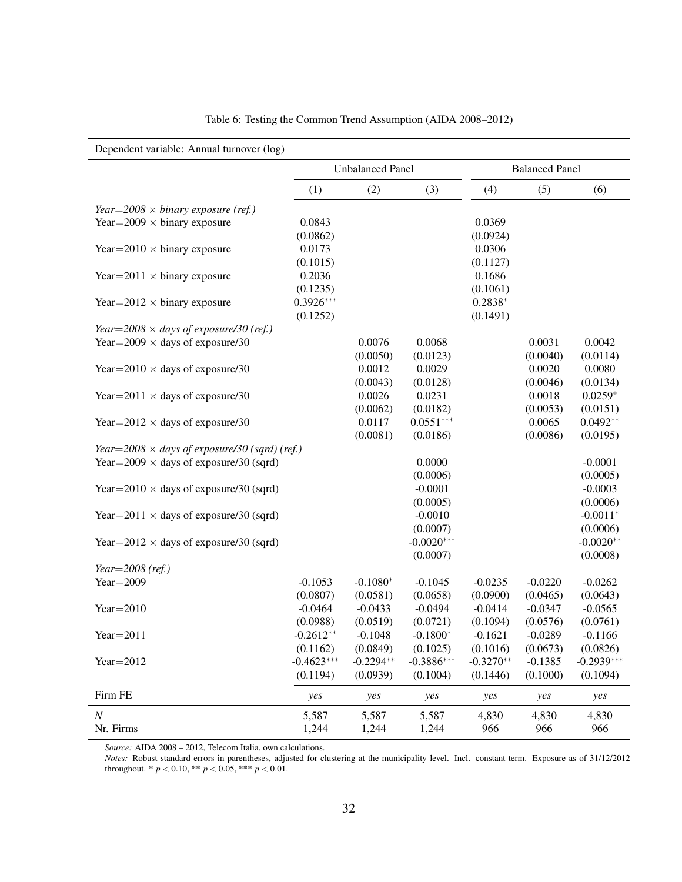<span id="page-34-0"></span>

| Dependent variable: Annual turnover (log)            |              |                         |              |             |                       |              |
|------------------------------------------------------|--------------|-------------------------|--------------|-------------|-----------------------|--------------|
|                                                      |              | <b>Unbalanced Panel</b> |              |             | <b>Balanced Panel</b> |              |
|                                                      | (1)          | (2)                     | (3)          | (4)         | (5)                   | (6)          |
| Year=2008 $\times$ binary exposure (ref.)            |              |                         |              |             |                       |              |
| Year= $2009 \times$ binary exposure                  | 0.0843       |                         |              | 0.0369      |                       |              |
|                                                      | (0.0862)     |                         |              | (0.0924)    |                       |              |
| Year= $2010 \times$ binary exposure                  | 0.0173       |                         |              | 0.0306      |                       |              |
|                                                      | (0.1015)     |                         |              | (0.1127)    |                       |              |
| Year= $2011 \times$ binary exposure                  | 0.2036       |                         |              | 0.1686      |                       |              |
|                                                      | (0.1235)     |                         |              | (0.1061)    |                       |              |
| Year= $2012 \times$ binary exposure                  | $0.3926***$  |                         |              | $0.2838*$   |                       |              |
|                                                      | (0.1252)     |                         |              | (0.1491)    |                       |              |
| Year= $2008 \times days$ of exposure/30 (ref.)       |              |                         |              |             |                       |              |
| Year= $2009 \times$ days of exposure/30              |              | 0.0076                  | 0.0068       |             | 0.0031                | 0.0042       |
|                                                      |              | (0.0050)                | (0.0123)     |             | (0.0040)              | (0.0114)     |
| Year= $2010 \times$ days of exposure/30              |              | 0.0012                  | 0.0029       |             | 0.0020                | 0.0080       |
|                                                      |              | (0.0043)                | (0.0128)     |             | (0.0046)              | (0.0134)     |
| Year=2011 $\times$ days of exposure/30               |              | 0.0026                  | 0.0231       |             | 0.0018                | $0.0259*$    |
|                                                      |              | (0.0062)                | (0.0182)     |             | (0.0053)              | (0.0151)     |
| Year= $2012 \times$ days of exposure/30              |              | 0.0117                  | $0.0551***$  |             | 0.0065                | $0.0492**$   |
|                                                      |              | (0.0081)                | (0.0186)     |             | (0.0086)              | (0.0195)     |
| Year=2008 $\times$ days of exposure/30 (sqrd) (ref.) |              |                         |              |             |                       |              |
| Year= $2009 \times$ days of exposure/30 (sqrd)       |              |                         | 0.0000       |             |                       | $-0.0001$    |
|                                                      |              |                         | (0.0006)     |             |                       | (0.0005)     |
| Year= $2010 \times$ days of exposure/30 (sqrd)       |              |                         | $-0.0001$    |             |                       | $-0.0003$    |
|                                                      |              |                         | (0.0005)     |             |                       | (0.0006)     |
| Year=2011 $\times$ days of exposure/30 (sqrd)        |              |                         | $-0.0010$    |             |                       | $-0.0011*$   |
|                                                      |              |                         | (0.0007)     |             |                       | (0.0006)     |
| Year= $2012 \times$ days of exposure/30 (sqrd)       |              |                         | $-0.0020***$ |             |                       | $-0.0020**$  |
|                                                      |              |                         | (0.0007)     |             |                       | (0.0008)     |
| Year= $2008$ (ref.)                                  |              |                         |              |             |                       |              |
| Year= $2009$                                         | $-0.1053$    | $-0.1080*$              | $-0.1045$    | $-0.0235$   | $-0.0220$             | $-0.0262$    |
|                                                      | (0.0807)     | (0.0581)                | (0.0658)     | (0.0900)    | (0.0465)              | (0.0643)     |
| Year= $2010$                                         | $-0.0464$    | $-0.0433$               | $-0.0494$    | $-0.0414$   | $-0.0347$             | $-0.0565$    |
|                                                      | (0.0988)     | (0.0519)                | (0.0721)     | (0.1094)    | (0.0576)              | (0.0761)     |
| Year= $2011$                                         | $-0.2612**$  | $-0.1048$               | $-0.1800*$   | $-0.1621$   | $-0.0289$             | $-0.1166$    |
|                                                      | (0.1162)     | (0.0849)                | (0.1025)     | (0.1016)    | (0.0673)              | (0.0826)     |
| Year= $2012$                                         | $-0.4623***$ | $-0.2294**$             | $-0.3886***$ | $-0.3270**$ | $-0.1385$             | $-0.2939***$ |
|                                                      | (0.1194)     | (0.0939)                | (0.1004)     | (0.1446)    | (0.1000)              | (0.1094)     |
| Firm FE                                              | yes          | yes                     | yes          | yes         | yes                   | yes          |
| $\boldsymbol{N}$                                     | 5,587        | 5,587                   | 5,587        | 4,830       | 4,830                 | 4,830        |
| Nr. Firms                                            | 1,244        | 1,244                   | 1,244        | 966         | 966                   | 966          |

| Table 6: Testing the Common Trend Assumption (AIDA 2008–2012) |  |  |
|---------------------------------------------------------------|--|--|
|---------------------------------------------------------------|--|--|

*Source:* AIDA 2008 – 2012, Telecom Italia, own calculations.

*Notes:* Robust standard errors in parentheses, adjusted for clustering at the municipality level. Incl. constant term. Exposure as of 31/12/2012 throughout. \* *p* < 0.10, \*\* *p* < 0.05, \*\*\* *p* < 0.01.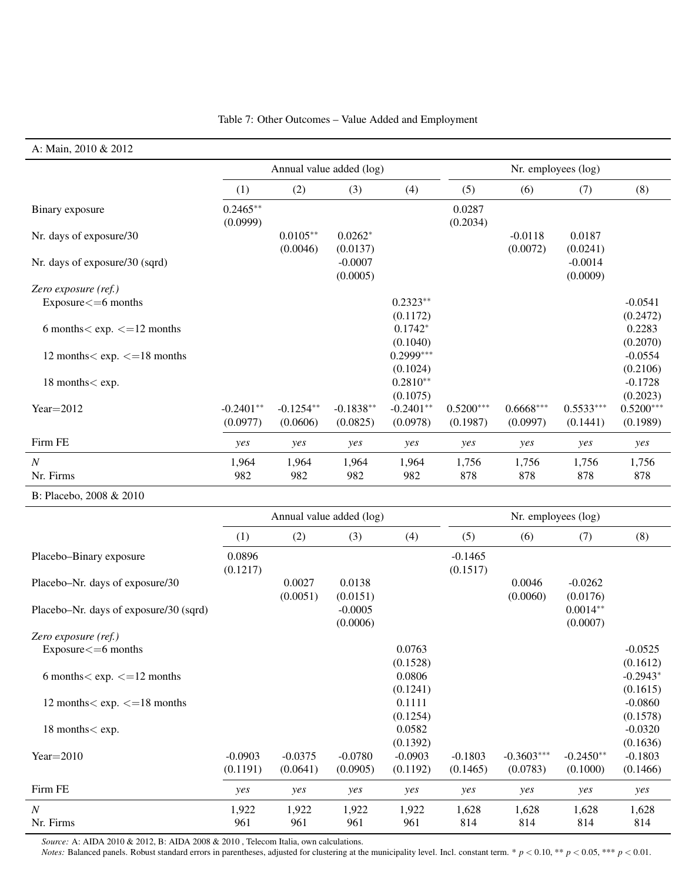#### Table 7: Other Outcomes – Value Added and Employment

#### <span id="page-35-0"></span>A: Main, 2010 & 2012

|                                               |                         |                         | Annual value added (log) |                         |                         | Nr. employees (log)     |                         |                         |
|-----------------------------------------------|-------------------------|-------------------------|--------------------------|-------------------------|-------------------------|-------------------------|-------------------------|-------------------------|
|                                               | (1)                     | (2)                     | (3)                      | (4)                     | (5)                     | (6)                     | (7)                     | (8)                     |
| Binary exposure                               | $0.2465**$<br>(0.0999)  |                         |                          |                         | 0.0287<br>(0.2034)      |                         |                         |                         |
| Nr. days of exposure/30                       |                         | $0.0105***$<br>(0.0046) | $0.0262*$<br>(0.0137)    |                         |                         | $-0.0118$<br>(0.0072)   | 0.0187<br>(0.0241)      |                         |
| Nr. days of exposure/30 (sqrd)                |                         |                         | $-0.0007$<br>(0.0005)    |                         |                         |                         | $-0.0014$<br>(0.0009)   |                         |
| Zero exposure (ref.)                          |                         |                         |                          |                         |                         |                         |                         |                         |
| $Exposure < = 6$ months                       |                         |                         |                          | $0.2323**$<br>(0.1172)  |                         |                         |                         | $-0.0541$<br>(0.2472)   |
| 6 months $\langle$ exp. $\langle$ = 12 months |                         |                         |                          | $0.1742*$<br>(0.1040)   |                         |                         |                         | 0.2283<br>(0.2070)      |
| 12 months $<$ exp. $<=$ 18 months             |                         |                         |                          | $0.2999***$<br>(0.1024) |                         |                         |                         | $-0.0554$<br>(0.2106)   |
| 18 months < exp.                              |                         |                         |                          | $0.2810**$<br>(0.1075)  |                         |                         |                         | $-0.1728$<br>(0.2023)   |
| Year $=$ 2012                                 | $-0.2401**$<br>(0.0977) | $-0.1254**$<br>(0.0606) | $-0.1838**$<br>(0.0825)  | $-0.2401**$<br>(0.0978) | $0.5200***$<br>(0.1987) | $0.6668***$<br>(0.0997) | $0.5533***$<br>(0.1441) | $0.5200***$<br>(0.1989) |
| Firm FE                                       | yes                     | yes                     | yes                      | yes                     | yes                     | yes                     | yes                     | yes                     |
| N<br>Nr. Firms                                | 1,964<br>982            | 1,964<br>982            | 1,964<br>982             | 1,964<br>982            | 1,756<br>878            | 1,756<br>878            | 1,756<br>878            | 1,756<br>878            |
| $D. D1 = 1 = 200000000010$                    |                         |                         |                          |                         |                         |                         |                         |                         |

B: Placebo, 2008 & 2010

|                                                |                       | Annual value added (log) |                       |                       |                       | Nr. employees (log)      |                         |                        |
|------------------------------------------------|-----------------------|--------------------------|-----------------------|-----------------------|-----------------------|--------------------------|-------------------------|------------------------|
|                                                | (1)                   | (2)                      | (3)                   | (4)                   | (5)                   | (6)                      | (7)                     | (8)                    |
| Placebo-Binary exposure                        | 0.0896<br>(0.1217)    |                          |                       |                       | $-0.1465$<br>(0.1517) |                          |                         |                        |
| Placebo-Nr. days of exposure/30                |                       | 0.0027<br>(0.0051)       | 0.0138<br>(0.0151)    |                       |                       | 0.0046<br>(0.0060)       | $-0.0262$<br>(0.0176)   |                        |
| Placebo-Nr. days of exposure/30 (sqrd)         |                       |                          | $-0.0005$<br>(0.0006) |                       |                       |                          | $0.0014**$<br>(0.0007)  |                        |
| Zero exposure (ref.)                           |                       |                          |                       |                       |                       |                          |                         |                        |
| $Exposure < = 6$ months                        |                       |                          |                       | 0.0763<br>(0.1528)    |                       |                          |                         | $-0.0525$<br>(0.1612)  |
| 6 months $\langle$ exp. $\langle$ = 12 months  |                       |                          |                       | 0.0806<br>(0.1241)    |                       |                          |                         | $-0.2943*$<br>(0.1615) |
| 12 months $\langle$ exp. $\langle$ = 18 months |                       |                          |                       | 0.1111<br>(0.1254)    |                       |                          |                         | $-0.0860$<br>(0.1578)  |
| 18 months < exp.                               |                       |                          |                       | 0.0582<br>(0.1392)    |                       |                          |                         | $-0.0320$<br>(0.1636)  |
| $Year = 2010$                                  | $-0.0903$<br>(0.1191) | $-0.0375$<br>(0.0641)    | $-0.0780$<br>(0.0905) | $-0.0903$<br>(0.1192) | $-0.1803$<br>(0.1465) | $-0.3603***$<br>(0.0783) | $-0.2450**$<br>(0.1000) | $-0.1803$<br>(0.1466)  |
| Firm FE                                        | yes                   | yes                      | yes                   | yes                   | yes                   | yes                      | yes                     | yes                    |
| $\boldsymbol{N}$                               | 1,922                 | 1,922                    | 1,922                 | 1,922                 | 1,628                 | 1,628                    | 1,628                   | 1,628                  |
| Nr. Firms                                      | 961                   | 961                      | 961                   | 961                   | 814                   | 814                      | 814                     | 814                    |

*Source:* A: AIDA 2010 & 2012, B: AIDA 2008 & 2010 , Telecom Italia, own calculations.

*Notes:* Balanced panels. Robust standard errors in parentheses, adjusted for clustering at the municipality level. Incl. constant term. \*  $p < 0.10$ , \*\*  $p < 0.05$ , \*\*\*  $p < 0.01$ .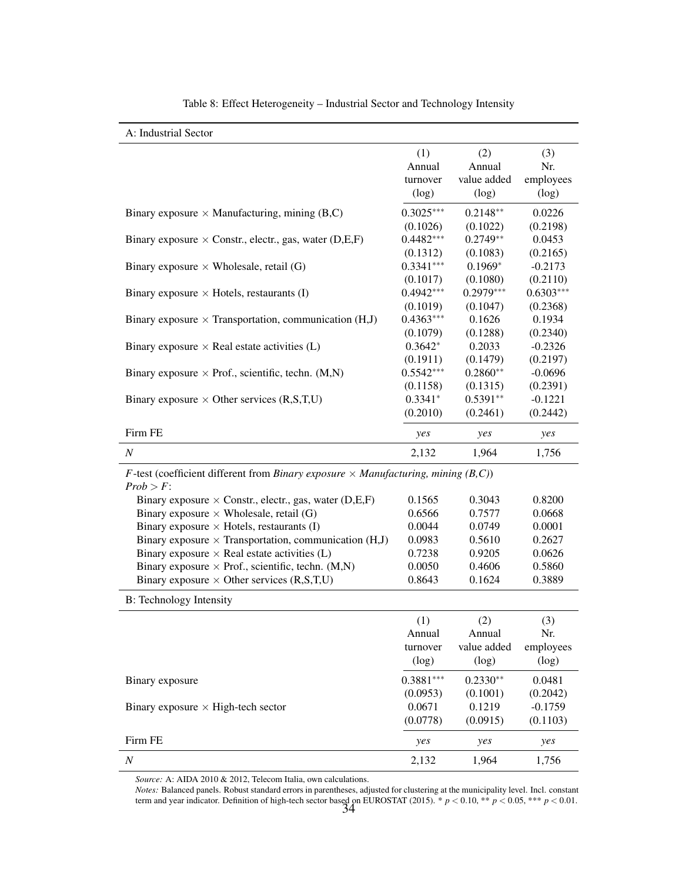<span id="page-36-0"></span>

| A: Industrial Sector                                                                                                                    |             |             |             |
|-----------------------------------------------------------------------------------------------------------------------------------------|-------------|-------------|-------------|
|                                                                                                                                         | (1)         | (2)         | (3)         |
|                                                                                                                                         | Annual      | Annual      | Nr.         |
|                                                                                                                                         | turnover    | value added | employees   |
|                                                                                                                                         | (log)       | (log)       | (log)       |
| Binary exposure $\times$ Manufacturing, mining (B,C)                                                                                    | $0.3025***$ | $0.2148**$  | 0.0226      |
|                                                                                                                                         | (0.1026)    | (0.1022)    | (0.2198)    |
| Binary exposure $\times$ Constr., electr., gas, water (D,E,F)                                                                           | $0.4482***$ | $0.2749**$  | 0.0453      |
|                                                                                                                                         | (0.1312)    | (0.1083)    | (0.2165)    |
| Binary exposure $\times$ Wholesale, retail (G)                                                                                          | $0.3341***$ | $0.1969*$   | $-0.2173$   |
|                                                                                                                                         | (0.1017)    | (0.1080)    | (0.2110)    |
| Binary exposure $\times$ Hotels, restaurants (I)                                                                                        | $0.4942***$ | $0.2979***$ | $0.6303***$ |
|                                                                                                                                         | (0.1019)    | (0.1047)    | (0.2368)    |
| Binary exposure $\times$ Transportation, communication (H,J)                                                                            | $0.4363***$ | 0.1626      | 0.1934      |
|                                                                                                                                         | (0.1079)    | (0.1288)    | (0.2340)    |
| Binary exposure $\times$ Real estate activities (L)                                                                                     | $0.3642*$   | 0.2033      | $-0.2326$   |
|                                                                                                                                         | (0.1911)    | (0.1479)    | (0.2197)    |
| Binary exposure $\times$ Prof., scientific, techn. (M,N)                                                                                | $0.5542***$ | $0.2860**$  | $-0.0696$   |
|                                                                                                                                         | (0.1158)    | (0.1315)    | (0.2391)    |
| Binary exposure $\times$ Other services (R,S,T,U)                                                                                       | $0.3341*$   | $0.5391**$  | $-0.1221$   |
|                                                                                                                                         | (0.2010)    | (0.2461)    | (0.2442)    |
| Firm FE                                                                                                                                 | yes         | yes         | yes         |
| $\boldsymbol{N}$                                                                                                                        | 2,132       | 1,964       | 1,756       |
| <i>F</i> -test (coefficient different from <i>Binary exposure</i> $\times$ <i>Manufacturing, mining</i> ( <i>B,C</i> ))<br>$Prob > F$ : |             |             |             |
| Binary exposure $\times$ Constr., electr., gas, water (D,E,F)                                                                           | 0.1565      | 0.3043      | 0.8200      |
| Binary exposure $\times$ Wholesale, retail (G)                                                                                          | 0.6566      | 0.7577      | 0.0668      |
| Binary exposure $\times$ Hotels, restaurants (I)                                                                                        | 0.0044      | 0.0749      | 0.0001      |
| Binary exposure $\times$ Transportation, communication (H,J)                                                                            | 0.0983      | 0.5610      | 0.2627      |
| Binary exposure $\times$ Real estate activities (L)                                                                                     | 0.7238      | 0.9205      | 0.0626      |
| Binary exposure $\times$ Prof., scientific, techn. (M,N)                                                                                | 0.0050      | 0.4606      | 0.5860      |
| Binary exposure $\times$ Other services (R,S,T,U)                                                                                       | 0.8643      | 0.1624      | 0.3889      |
| <b>B:</b> Technology Intensity                                                                                                          |             |             |             |
|                                                                                                                                         | (1)         | (2)         | (3)         |
|                                                                                                                                         | Annual      | Annual      | Nr.         |
|                                                                                                                                         | turnover    | value added | employees   |
|                                                                                                                                         | (log)       | (log)       | (log)       |
| Binary exposure                                                                                                                         | $0.3881***$ | $0.2330**$  | 0.0481      |
|                                                                                                                                         | (0.0953)    | (0.1001)    | (0.2042)    |
| Binary exposure $\times$ High-tech sector                                                                                               | 0.0671      | 0.1219      | $-0.1759$   |
|                                                                                                                                         | (0.0778)    | (0.0915)    | (0.1103)    |
| Firm FE                                                                                                                                 | yes         | yes         | yes         |
| $\,N$                                                                                                                                   | 2,132       | 1,964       | 1,756       |

Table 8: Effect Heterogeneity – Industrial Sector and Technology Intensity

*Source:* A: AIDA 2010 & 2012, Telecom Italia, own calculations.

*Notes:* Balanced panels. Robust standard errors in parentheses, adjusted for clustering at the municipality level. Incl. constant term and year indicator. Definition of high-tech sector based on [EUROSTAT](#page-22-11) [\(2015\)](#page-22-11).  $*$   $p < 0.10, **$   $p < 0.05, **$   $p < 0.01$ .<br>34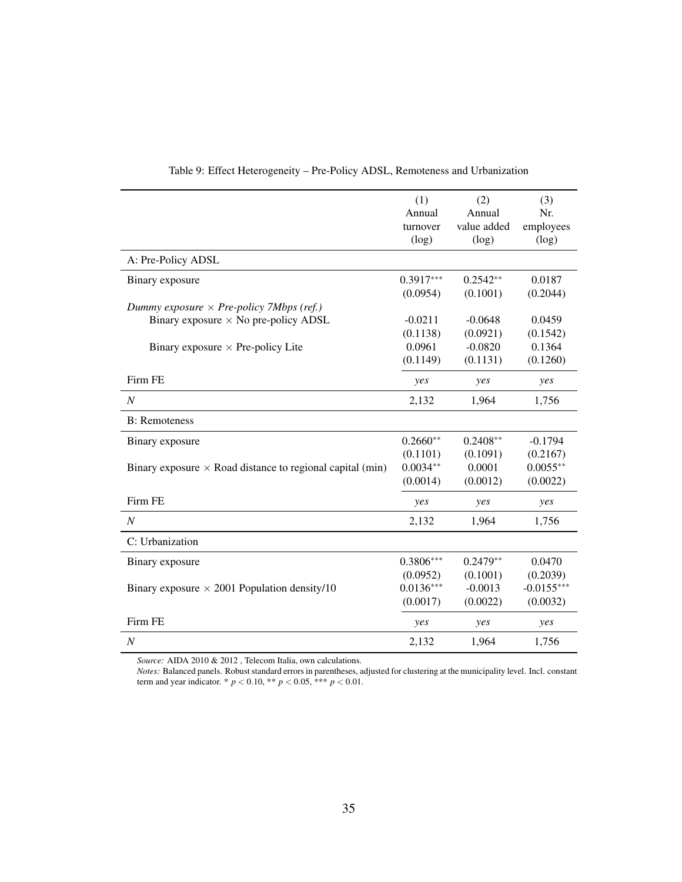<span id="page-37-0"></span>

|                                                                  | (1)         | (2)         | (3)          |
|------------------------------------------------------------------|-------------|-------------|--------------|
|                                                                  | Annual      | Annual      | Nr.          |
|                                                                  | turnover    | value added | employees    |
|                                                                  | (log)       | (log)       | (log)        |
| A: Pre-Policy ADSL                                               |             |             |              |
| Binary exposure                                                  | $0.3917***$ | $0.2542**$  | 0.0187       |
|                                                                  | (0.0954)    | (0.1001)    | (0.2044)     |
| Dummy exposure $\times$ Pre-policy 7Mbps (ref.)                  |             |             |              |
| Binary exposure $\times$ No pre-policy ADSL                      | $-0.0211$   | $-0.0648$   | 0.0459       |
|                                                                  | (0.1138)    | (0.0921)    | (0.1542)     |
| Binary exposure $\times$ Pre-policy Lite                         | 0.0961      | $-0.0820$   | 0.1364       |
|                                                                  | (0.1149)    | (0.1131)    | (0.1260)     |
| Firm FE                                                          | yes         | yes         | yes          |
| $\overline{N}$                                                   | 2,132       | 1,964       | 1,756        |
| <b>B</b> : Remoteness                                            |             |             |              |
| Binary exposure                                                  | $0.2660**$  | $0.2408**$  | $-0.1794$    |
|                                                                  | (0.1101)    | (0.1091)    | (0.2167)     |
| Binary exposure $\times$ Road distance to regional capital (min) | $0.0034**$  | 0.0001      | $0.0055**$   |
|                                                                  | (0.0014)    | (0.0012)    | (0.0022)     |
| Firm FE                                                          | yes         | yes         | yes          |
| $\overline{N}$                                                   | 2,132       | 1,964       | 1,756        |
| C: Urbanization                                                  |             |             |              |
| Binary exposure                                                  | $0.3806***$ | $0.2479**$  | 0.0470       |
|                                                                  | (0.0952)    | (0.1001)    | (0.2039)     |
| Binary exposure $\times$ 2001 Population density/10              | $0.0136***$ | $-0.0013$   | $-0.0155***$ |
|                                                                  | (0.0017)    | (0.0022)    | (0.0032)     |
| Firm FE                                                          | yes         | yes         | yes          |
| $\boldsymbol{N}$                                                 | 2,132       | 1,964       | 1,756        |

#### Table 9: Effect Heterogeneity – Pre-Policy ADSL, Remoteness and Urbanization

*Source:* AIDA 2010 & 2012 , Telecom Italia, own calculations.

*Notes:* Balanced panels. Robust standard errors in parentheses, adjusted for clustering at the municipality level. Incl. constant term and year indicator. \*  $p < 0.10$ , \*\*  $p < 0.05$ , \*\*\*  $p < 0.01$ .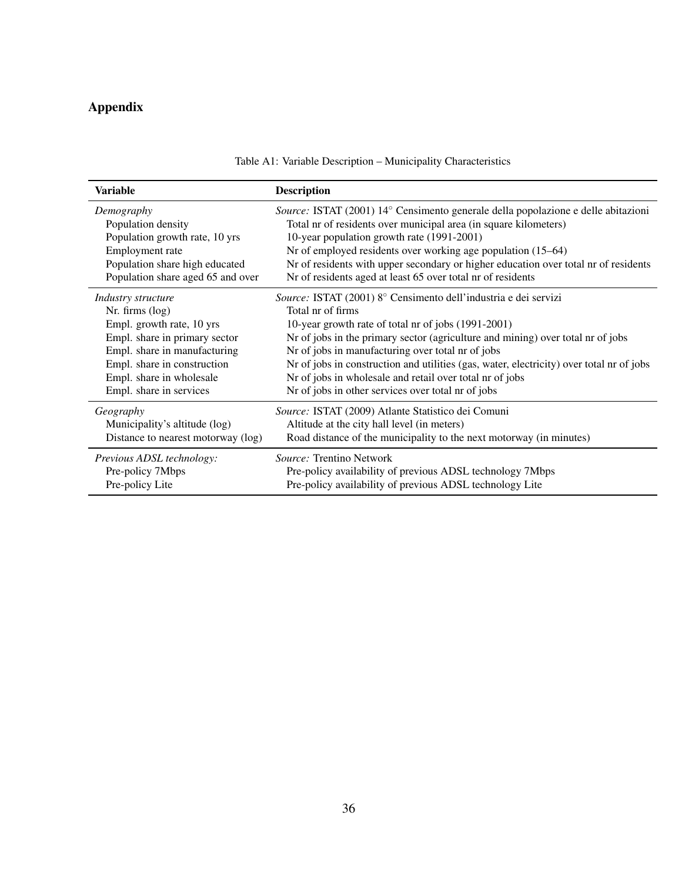# <span id="page-38-0"></span>Appendix

| <b>Variable</b>                    | <b>Description</b>                                                                       |
|------------------------------------|------------------------------------------------------------------------------------------|
| Demography                         | Source: ISTAT (2001) 14° Censimento generale della popolazione e delle abitazioni        |
| Population density                 | Total nr of residents over municipal area (in square kilometers)                         |
| Population growth rate, 10 yrs     | 10-year population growth rate (1991-2001)                                               |
| Employment rate                    | Nr of employed residents over working age population (15–64)                             |
| Population share high educated     | Nr of residents with upper secondary or higher education over total nr of residents      |
| Population share aged 65 and over  | Nr of residents aged at least 65 over total nr of residents                              |
| Industry structure                 | Source: ISTAT (2001) 8° Censimento dell'industria e dei servizi                          |
| Nr. firms (log)                    | Total nr of firms                                                                        |
| Empl. growth rate, 10 yrs          | 10-year growth rate of total nr of jobs (1991-2001)                                      |
| Empl. share in primary sector      | Nr of jobs in the primary sector (agriculture and mining) over total nr of jobs          |
| Empl. share in manufacturing       | Nr of jobs in manufacturing over total nr of jobs                                        |
| Empl. share in construction        | Nr of jobs in construction and utilities (gas, water, electricity) over total nr of jobs |
| Empl. share in wholesale           | Nr of jobs in wholesale and retail over total nr of jobs                                 |
| Empl. share in services            | Nr of jobs in other services over total nr of jobs                                       |
| Geography                          | Source: ISTAT (2009) Atlante Statistico dei Comuni                                       |
| Municipality's altitude (log)      | Altitude at the city hall level (in meters)                                              |
| Distance to nearest motorway (log) | Road distance of the municipality to the next motorway (in minutes)                      |
| Previous ADSL technology:          | Source: Trentino Network                                                                 |
| Pre-policy 7Mbps                   | Pre-policy availability of previous ADSL technology 7Mbps                                |
| Pre-policy Lite                    | Pre-policy availability of previous ADSL technology Lite                                 |

### Table A1: Variable Description – Municipality Characteristics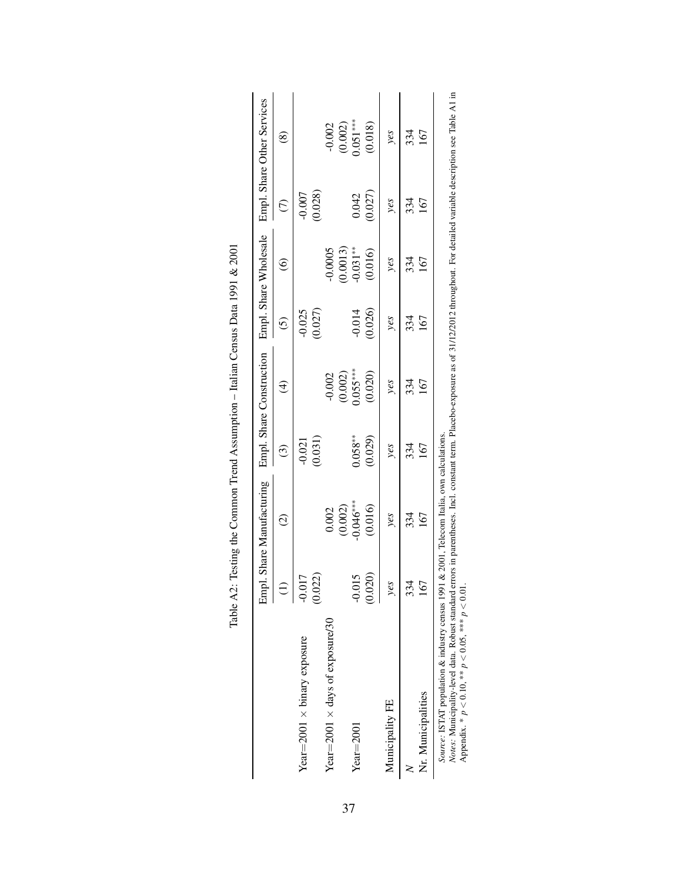|                                                                                                                                                                                                                                                                                                                                                     | Emp                 | ol. Share Manufacturing |                     | Empl. Share Construction |                     | Empl. Share Wholesale  |                     | Empl. Share Other Services |
|-----------------------------------------------------------------------------------------------------------------------------------------------------------------------------------------------------------------------------------------------------------------------------------------------------------------------------------------------------|---------------------|-------------------------|---------------------|--------------------------|---------------------|------------------------|---------------------|----------------------------|
|                                                                                                                                                                                                                                                                                                                                                     |                     | $\widehat{\circ}$       | $\odot$             | $\widehat{\mathcal{A}}$  | $\widehat{\circ}$   | $\widehat{\circ}$      | $\widehat{\in}$     | @                          |
| Year= $2001 \times$ binary exposure                                                                                                                                                                                                                                                                                                                 | (0.022)<br>$-0.017$ |                         | (0.031)<br>$-0.021$ |                          | (0.027)<br>$-0.025$ |                        | (0.028)<br>$-0.007$ |                            |
| Year= $2001 \times$ days of exposure/30                                                                                                                                                                                                                                                                                                             |                     | 0.002                   |                     | $-0.002$                 |                     | 0.0005                 |                     | $-0.002$                   |
| $Year = 2001$                                                                                                                                                                                                                                                                                                                                       | $-0.015$            | $(0.002)$<br>$0.046***$ | $0.058**$           | $0.055***$<br>(0.002)    | $-0.014$            | $0.031***$<br>(0.0013) | 0.042               | $(0.002)$<br>$0.051***$    |
|                                                                                                                                                                                                                                                                                                                                                     | (0.020)             | (0.016)                 | (0.029)             | (0.020)                  | (0.026)             | (0.016)                | (0.027)             | (0.018)                    |
| Municipality FE                                                                                                                                                                                                                                                                                                                                     | yes                 | yes                     | yes                 | yes                      | yes                 | yes                    | yes                 | yes                        |
|                                                                                                                                                                                                                                                                                                                                                     | 334                 | 334                     | 334                 | 334                      | 334                 | 334                    | 334                 | 334                        |
| Nr. Municipalities                                                                                                                                                                                                                                                                                                                                  | $\tilde{\bm{e}}$    | 167                     | 167                 | 167                      | 167                 | 167                    | 167                 | 167                        |
| Notes: Municipality-level data. Robust standard errors in parentheses. Incl. constant term. Placebo-exposure as of 31/12/2012 throughout. For detailed variable description see Table A1 in<br>Source: ISTAT population & industry census 1991 & 2001, Telecom Italia, own calculations.<br>Appendix. * $p < 0.10$ , ** $p < 0.05$ , *** $p < 0.01$ |                     |                         |                     |                          |                     |                        |                     |                            |

| $0.001$ $0.001$<br>うりり                                                                                                  |
|-------------------------------------------------------------------------------------------------------------------------|
| j                                                                                                                       |
| $\ddotsc$ and $\ddotsc$                                                                                                 |
| ֖֧֪ׅ֪֪֪֪ׅ֧֪֪֪֪ׅ֪֪ׅ֪֪ׅ֖֚֚֚֚֚֚֚֚֚֚֚֚֚֚֚֚֚֚֚֚֚֚֚֚֡֝֕֝֝֝֝֬֝֝֝֝֝֓֝֬֝֝֝֝֝<br>l                                                |
| ł                                                                                                                       |
| י<br>י                                                                                                                  |
|                                                                                                                         |
| ֧֧֖֧֧֧֧֧֧֧֧֧֧֧֧֧֧֧֧֧֧֧֧֧֛֛֛֚֚֚֚֚֚֚֝֝֬֝֝֝֓֝֬֝֓֝֬֝֓֝֬֝֬֝֬֝֬֝֬֝֓֝֬֝֬֝֬֝֬֝֬֝֬֝֬֝֬֝֬֝֬֝֬<br>֧֧֪֪֪֪֪֛֪֪֪֪֪֪֪֪֪֪֪֪֪֪֪֪֪֛֝<br>J |
| ו<br>י<br>$\ddot{\phantom{a}}$<br>$\frac{1}{1}$                                                                         |

<span id="page-39-0"></span>37

Appendix. \* *p* < 0.10, \*\* *p* < 0.05, \*\*\* *p* < 0.01.